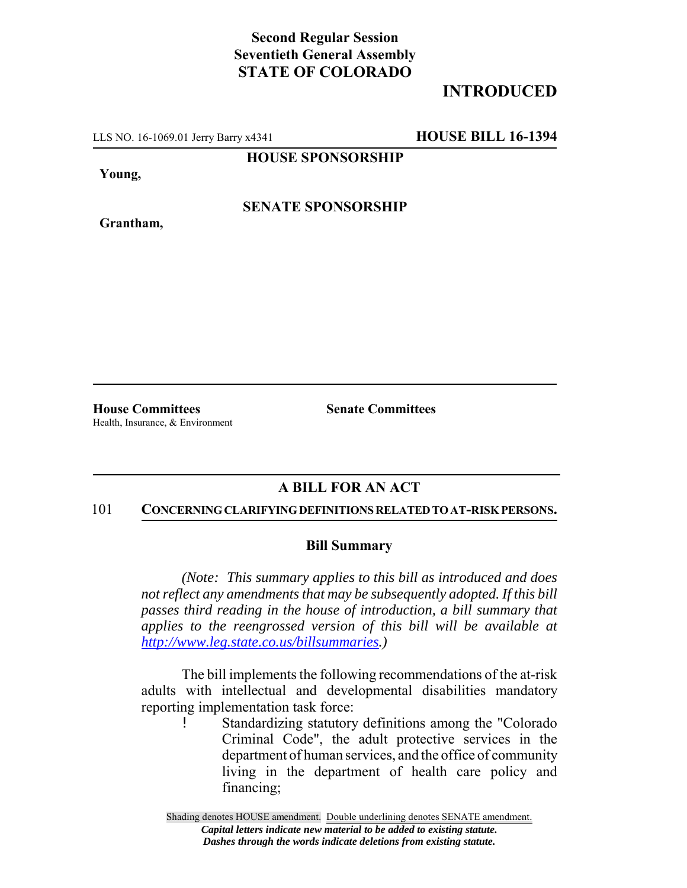# **Second Regular Session Seventieth General Assembly STATE OF COLORADO**

# **INTRODUCED**

LLS NO. 16-1069.01 Jerry Barry x4341 **HOUSE BILL 16-1394**

**HOUSE SPONSORSHIP**

**Young,**

**Grantham,**

**SENATE SPONSORSHIP**

**House Committees Senate Committees** Health, Insurance, & Environment

## **A BILL FOR AN ACT**

#### 101 **CONCERNING CLARIFYING DEFINITIONS RELATED TO AT-RISK PERSONS.**

## **Bill Summary**

*(Note: This summary applies to this bill as introduced and does not reflect any amendments that may be subsequently adopted. If this bill passes third reading in the house of introduction, a bill summary that applies to the reengrossed version of this bill will be available at http://www.leg.state.co.us/billsummaries.)*

The bill implements the following recommendations of the at-risk adults with intellectual and developmental disabilities mandatory reporting implementation task force:

! Standardizing statutory definitions among the "Colorado Criminal Code", the adult protective services in the department of human services, and the office of community living in the department of health care policy and financing;

Shading denotes HOUSE amendment. Double underlining denotes SENATE amendment. *Capital letters indicate new material to be added to existing statute. Dashes through the words indicate deletions from existing statute.*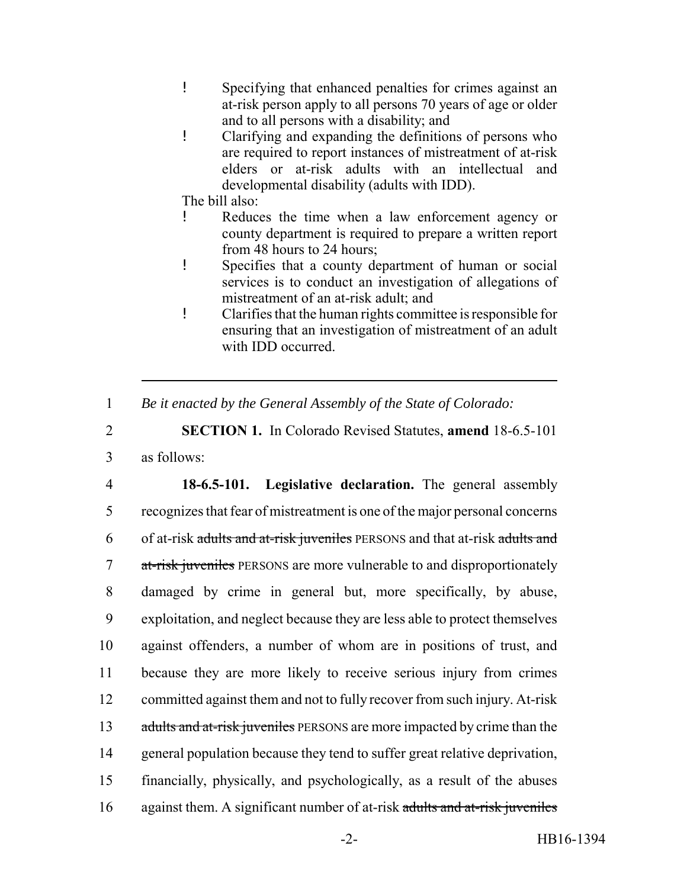- ! Specifying that enhanced penalties for crimes against an at-risk person apply to all persons 70 years of age or older and to all persons with a disability; and
- ! Clarifying and expanding the definitions of persons who are required to report instances of mistreatment of at-risk elders or at-risk adults with an intellectual and developmental disability (adults with IDD).
- The bill also:
- ! Reduces the time when a law enforcement agency or county department is required to prepare a written report from 48 hours to 24 hours;
- ! Specifies that a county department of human or social services is to conduct an investigation of allegations of mistreatment of an at-risk adult; and
- ! Clarifies that the human rights committee is responsible for ensuring that an investigation of mistreatment of an adult with IDD occurred.
- 1 *Be it enacted by the General Assembly of the State of Colorado:*

2 **SECTION 1.** In Colorado Revised Statutes, **amend** 18-6.5-101

3 as follows:

 **18-6.5-101. Legislative declaration.** The general assembly recognizes that fear of mistreatment is one of the major personal concerns 6 of at-risk adults and at-risk juveniles PERSONS and that at-risk adults and 7 at-risk juveniles PERSONS are more vulnerable to and disproportionately damaged by crime in general but, more specifically, by abuse, exploitation, and neglect because they are less able to protect themselves against offenders, a number of whom are in positions of trust, and because they are more likely to receive serious injury from crimes committed against them and not to fully recover from such injury. At-risk 13 adults and at-risk juveniles PERSONS are more impacted by crime than the general population because they tend to suffer great relative deprivation, financially, physically, and psychologically, as a result of the abuses 16 against them. A significant number of at-risk adults and at-risk juveniles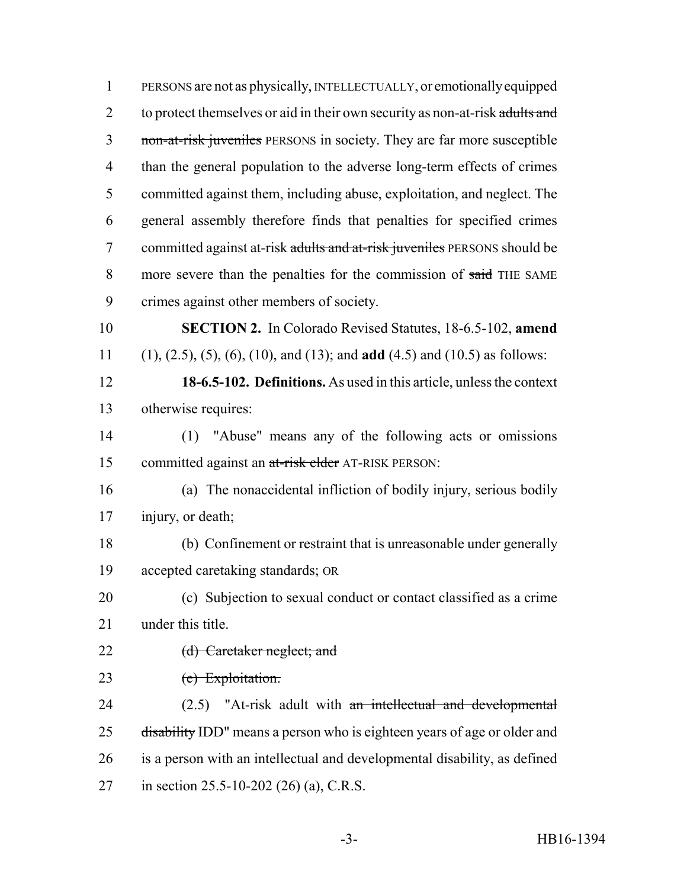PERSONS are not as physically, INTELLECTUALLY, or emotionally equipped 2 to protect themselves or aid in their own security as non-at-risk adults and 3 non-at-risk juveniles PERSONS in society. They are far more susceptible than the general population to the adverse long-term effects of crimes committed against them, including abuse, exploitation, and neglect. The general assembly therefore finds that penalties for specified crimes 7 committed against at-risk adults and at-risk juveniles PERSONS should be 8 more severe than the penalties for the commission of said THE SAME crimes against other members of society. **SECTION 2.** In Colorado Revised Statutes, 18-6.5-102, **amend** (1), (2.5), (5), (6), (10), and (13); and **add** (4.5) and (10.5) as follows: **18-6.5-102. Definitions.** As used in this article, unless the context otherwise requires: (1) "Abuse" means any of the following acts or omissions 15 committed against an at-risk elder AT-RISK PERSON: (a) The nonaccidental infliction of bodily injury, serious bodily injury, or death; (b) Confinement or restraint that is unreasonable under generally accepted caretaking standards; OR (c) Subjection to sexual conduct or contact classified as a crime under this title. 22 (d) Caretaker neglect; and 23 (e) Exploitation. 24 (2.5) "At-risk adult with an intellectual and developmental 25 disability IDD" means a person who is eighteen years of age or older and is a person with an intellectual and developmental disability, as defined in section 25.5-10-202 (26) (a), C.R.S.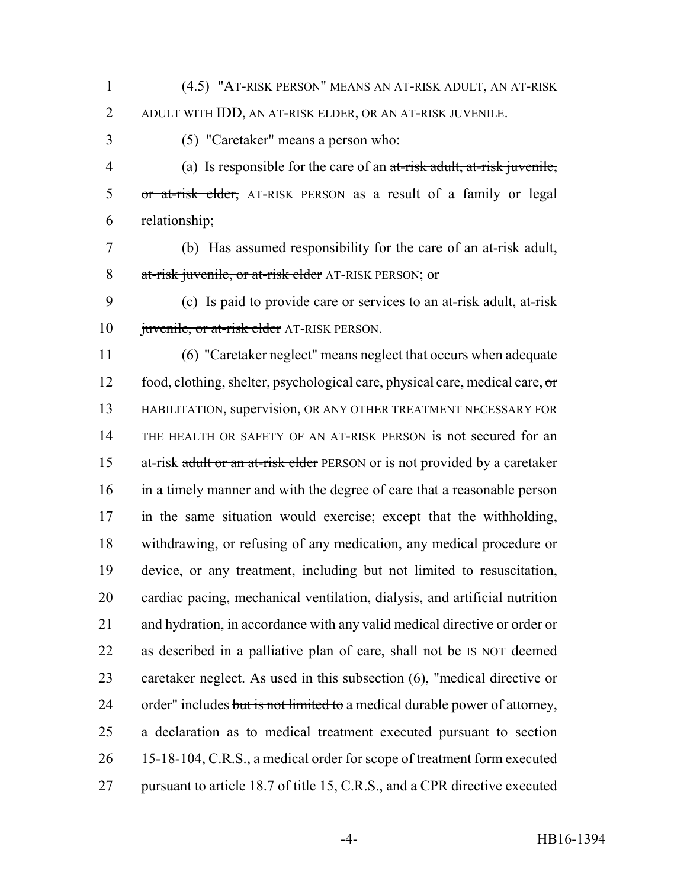(4.5) "AT-RISK PERSON" MEANS AN AT-RISK ADULT, AN AT-RISK ADULT WITH IDD, AN AT-RISK ELDER, OR AN AT-RISK JUVENILE.

(5) "Caretaker" means a person who:

- (a) Is responsible for the care of an at-risk adult, at-risk juvenile, 5 or at-risk elder, AT-RISK PERSON as a result of a family or legal relationship;
- (b) Has assumed responsibility for the care of an at-risk adult, 8 at-risk juvenile, or at-risk elder AT-RISK PERSON; or
- (c) Is paid to provide care or services to an at-risk adult, at-risk 10 juvenile, or at-risk elder AT-RISK PERSON.

 (6) "Caretaker neglect" means neglect that occurs when adequate 12 food, clothing, shelter, psychological care, physical care, medical care, or HABILITATION, supervision, OR ANY OTHER TREATMENT NECESSARY FOR THE HEALTH OR SAFETY OF AN AT-RISK PERSON is not secured for an 15 at-risk adult or an at-risk elder PERSON or is not provided by a caretaker in a timely manner and with the degree of care that a reasonable person in the same situation would exercise; except that the withholding, withdrawing, or refusing of any medication, any medical procedure or device, or any treatment, including but not limited to resuscitation, cardiac pacing, mechanical ventilation, dialysis, and artificial nutrition and hydration, in accordance with any valid medical directive or order or 22 as described in a palliative plan of care, shall not be IS NOT deemed caretaker neglect. As used in this subsection (6), "medical directive or 24 order" includes but is not limited to a medical durable power of attorney, a declaration as to medical treatment executed pursuant to section 15-18-104, C.R.S., a medical order for scope of treatment form executed pursuant to article 18.7 of title 15, C.R.S., and a CPR directive executed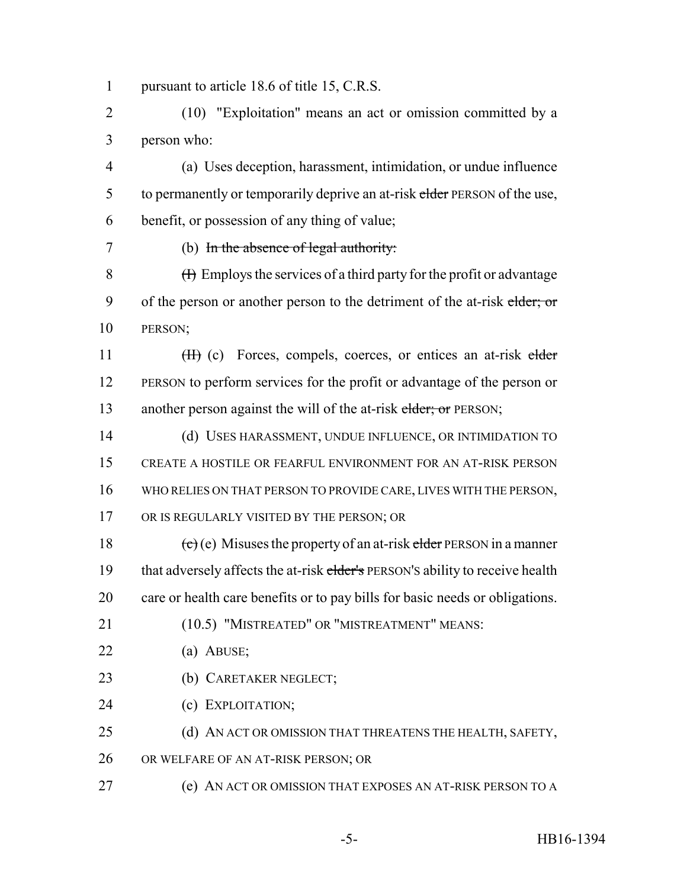pursuant to article 18.6 of title 15, C.R.S.

 (10) "Exploitation" means an act or omission committed by a person who:

 (a) Uses deception, harassment, intimidation, or undue influence 5 to permanently or temporarily deprive an at-risk elder PERSON of the use, benefit, or possession of any thing of value;

7 (b) In the absence of legal authority:

 (I) Employs the services of a third party for the profit or advantage 9 of the person or another person to the detriment of the at-risk elder; or PERSON;

11 (II) (C) Forces, compels, coerces, or entices an at-risk elder PERSON to perform services for the profit or advantage of the person or 13 another person against the will of the at-risk elder; or PERSON;

 (d) USES HARASSMENT, UNDUE INFLUENCE, OR INTIMIDATION TO CREATE A HOSTILE OR FEARFUL ENVIRONMENT FOR AN AT-RISK PERSON WHO RELIES ON THAT PERSON TO PROVIDE CARE, LIVES WITH THE PERSON,

OR IS REGULARLY VISITED BY THE PERSON; OR

18 (e) (e) Misuses the property of an at-risk elder PERSON in a manner 19 that adversely affects the at-risk elder's PERSON's ability to receive health care or health care benefits or to pay bills for basic needs or obligations.

- (10.5) "MISTREATED" OR "MISTREATMENT" MEANS:
- (a) ABUSE;
- (b) CARETAKER NEGLECT;
- (c) EXPLOITATION;

25 (d) AN ACT OR OMISSION THAT THREATENS THE HEALTH, SAFETY,

- OR WELFARE OF AN AT-RISK PERSON; OR
- (e) AN ACT OR OMISSION THAT EXPOSES AN AT-RISK PERSON TO A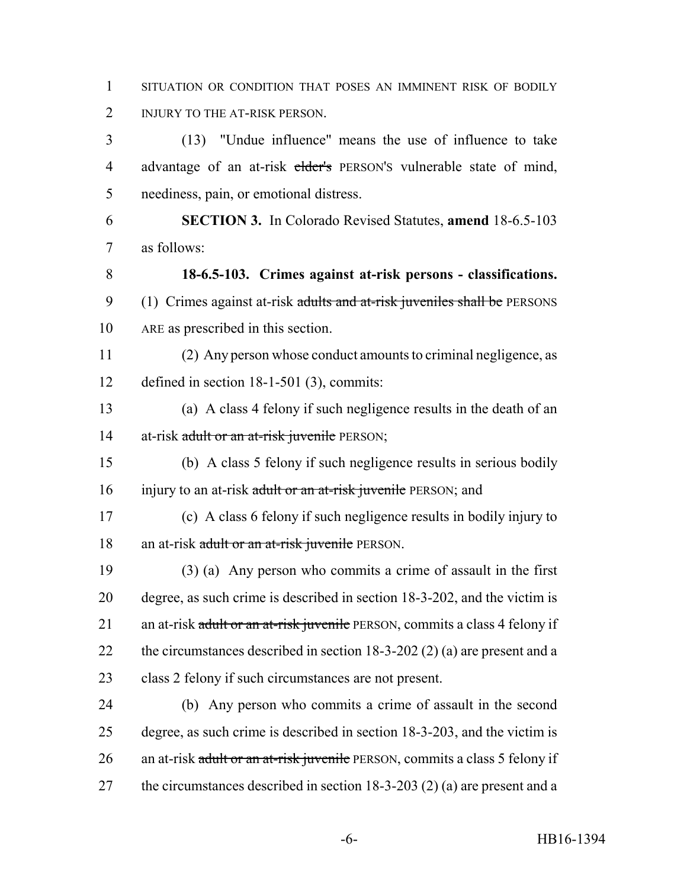SITUATION OR CONDITION THAT POSES AN IMMINENT RISK OF BODILY 2 INJURY TO THE AT-RISK PERSON.

 (13) "Undue influence" means the use of influence to take 4 advantage of an at-risk elder's PERSON's vulnerable state of mind, neediness, pain, or emotional distress.

 **SECTION 3.** In Colorado Revised Statutes, **amend** 18-6.5-103 as follows:

 **18-6.5-103. Crimes against at-risk persons - classifications.** 9 (1) Crimes against at-risk adults and at-risk juveniles shall be PERSONS ARE as prescribed in this section.

 (2) Any person whose conduct amounts to criminal negligence, as defined in section 18-1-501 (3), commits:

 (a) A class 4 felony if such negligence results in the death of an 14 at-risk adult or an at-risk juvenile PERSON;

 (b) A class 5 felony if such negligence results in serious bodily 16 injury to an at-risk adult or an at-risk juvenile PERSON; and

 (c) A class 6 felony if such negligence results in bodily injury to 18 an at-risk adult or an at-risk juvenile PERSON.

 (3) (a) Any person who commits a crime of assault in the first degree, as such crime is described in section 18-3-202, and the victim is 21 an at-risk adult or an at-risk juvenile PERSON, commits a class 4 felony if 22 the circumstances described in section 18-3-202 (2) (a) are present and a class 2 felony if such circumstances are not present.

 (b) Any person who commits a crime of assault in the second degree, as such crime is described in section 18-3-203, and the victim is 26 an at-risk adult or an at-risk juvenile PERSON, commits a class 5 felony if the circumstances described in section 18-3-203 (2) (a) are present and a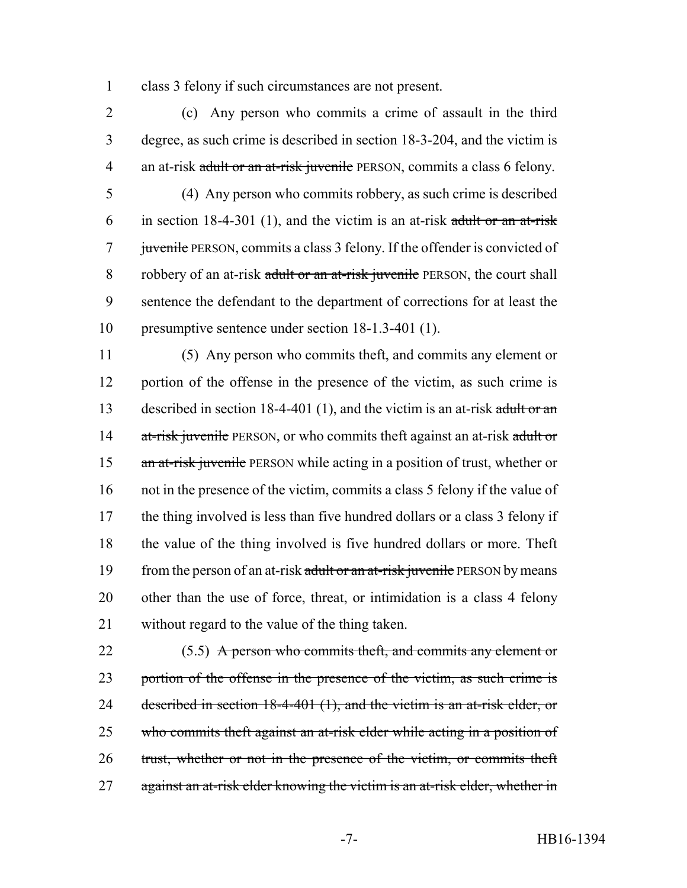1 class 3 felony if such circumstances are not present.

2 (c) Any person who commits a crime of assault in the third 3 degree, as such crime is described in section 18-3-204, and the victim is 4 an at-risk adult or an at-risk juvenile PERSON, commits a class 6 felony.

 (4) Any person who commits robbery, as such crime is described 6 in section 18-4-301 (1), and the victim is an at-risk adult or an at-risk juvenile PERSON, commits a class 3 felony. If the offender is convicted of 8 robbery of an at-risk adult or an at-risk juvenile PERSON, the court shall sentence the defendant to the department of corrections for at least the presumptive sentence under section 18-1.3-401 (1).

 (5) Any person who commits theft, and commits any element or portion of the offense in the presence of the victim, as such crime is 13 described in section 18-4-401 (1), and the victim is an at-risk adult or an 14 at-risk juvenile PERSON, or who commits theft against an at-risk adult or 15 an at-risk juvenile PERSON while acting in a position of trust, whether or not in the presence of the victim, commits a class 5 felony if the value of the thing involved is less than five hundred dollars or a class 3 felony if the value of the thing involved is five hundred dollars or more. Theft 19 from the person of an at-risk adult or an at-risk juvenile PERSON by means other than the use of force, threat, or intimidation is a class 4 felony without regard to the value of the thing taken.

22 (5.5) A person who commits theft, and commits any element or 23 portion of the offense in the presence of the victim, as such crime is 24 described in section 18-4-401 (1), and the victim is an at-risk elder, or 25 who commits theft against an at-risk elder while acting in a position of 26 trust, whether or not in the presence of the victim, or commits theft 27 against an at-risk elder knowing the victim is an at-risk elder, whether in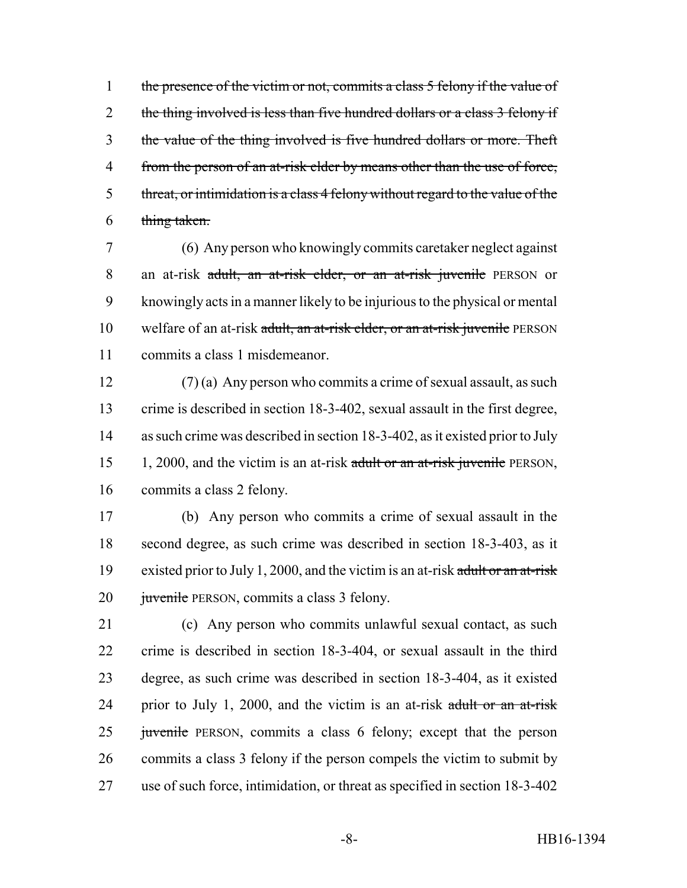1 the presence of the victim or not, commits a class 5 felony if the value of 2 the thing involved is less than five hundred dollars or a class 3 felony if the value of the thing involved is five hundred dollars or more. Theft 4 from the person of an at-risk elder by means other than the use of force, threat, or intimidation is a class 4 felony without regard to the value of the thing taken.

 (6) Any person who knowingly commits caretaker neglect against an at-risk adult, an at-risk elder, or an at-risk juvenile PERSON or knowingly acts in a manner likely to be injurious to the physical or mental 10 welfare of an at-risk adult, an at-risk elder, or an at-risk juvenile PERSON commits a class 1 misdemeanor.

 $(7)$  (a) Any person who commits a crime of sexual assault, as such crime is described in section 18-3-402, sexual assault in the first degree, as such crime was described in section 18-3-402, as it existed prior to July 15 1, 2000, and the victim is an at-risk adult or an at-risk juvenile PERSON, commits a class 2 felony.

 (b) Any person who commits a crime of sexual assault in the second degree, as such crime was described in section 18-3-403, as it 19 existed prior to July 1, 2000, and the victim is an at-risk adult or an at-risk *juvenile PERSON, commits a class 3 felony.* 

 (c) Any person who commits unlawful sexual contact, as such crime is described in section 18-3-404, or sexual assault in the third degree, as such crime was described in section 18-3-404, as it existed 24 prior to July 1, 2000, and the victim is an at-risk adult or an at-risk 25 juvenile PERSON, commits a class 6 felony; except that the person commits a class 3 felony if the person compels the victim to submit by use of such force, intimidation, or threat as specified in section 18-3-402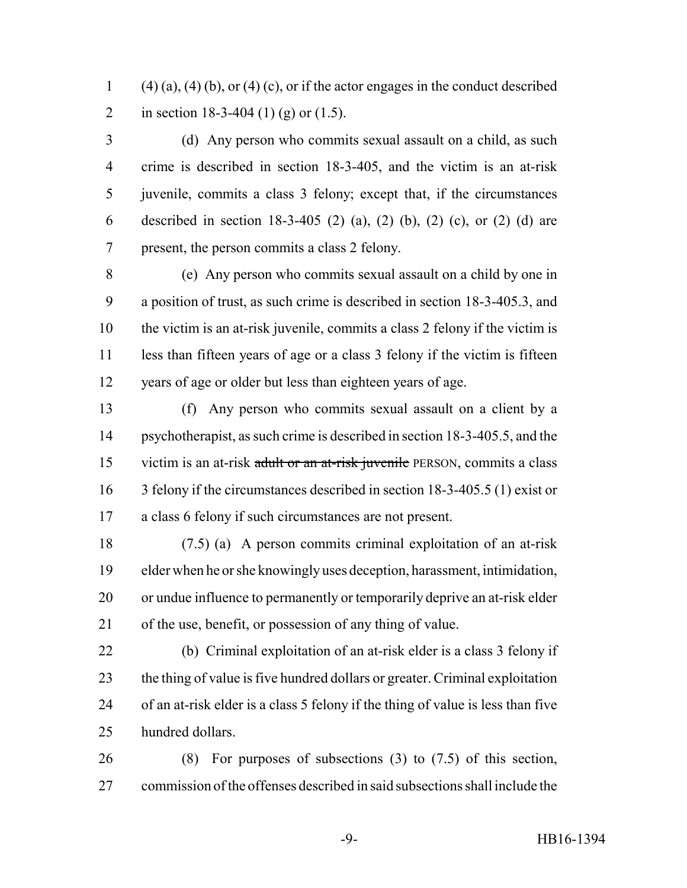(4) (a), (4) (b), or (4) (c), or if the actor engages in the conduct described 2 in section 18-3-404 (1) (g) or  $(1.5)$ .

 (d) Any person who commits sexual assault on a child, as such crime is described in section 18-3-405, and the victim is an at-risk juvenile, commits a class 3 felony; except that, if the circumstances described in section 18-3-405 (2) (a), (2) (b), (2) (c), or (2) (d) are present, the person commits a class 2 felony.

 (e) Any person who commits sexual assault on a child by one in a position of trust, as such crime is described in section 18-3-405.3, and the victim is an at-risk juvenile, commits a class 2 felony if the victim is less than fifteen years of age or a class 3 felony if the victim is fifteen years of age or older but less than eighteen years of age.

 (f) Any person who commits sexual assault on a client by a psychotherapist, as such crime is described in section 18-3-405.5, and the 15 victim is an at-risk adult or an at-risk juvenile PERSON, commits a class 3 felony if the circumstances described in section 18-3-405.5 (1) exist or a class 6 felony if such circumstances are not present.

 (7.5) (a) A person commits criminal exploitation of an at-risk elder when he or she knowingly uses deception, harassment, intimidation, or undue influence to permanently or temporarily deprive an at-risk elder of the use, benefit, or possession of any thing of value.

 (b) Criminal exploitation of an at-risk elder is a class 3 felony if the thing of value is five hundred dollars or greater. Criminal exploitation of an at-risk elder is a class 5 felony if the thing of value is less than five hundred dollars.

 (8) For purposes of subsections (3) to (7.5) of this section, commission of the offenses described in said subsections shall include the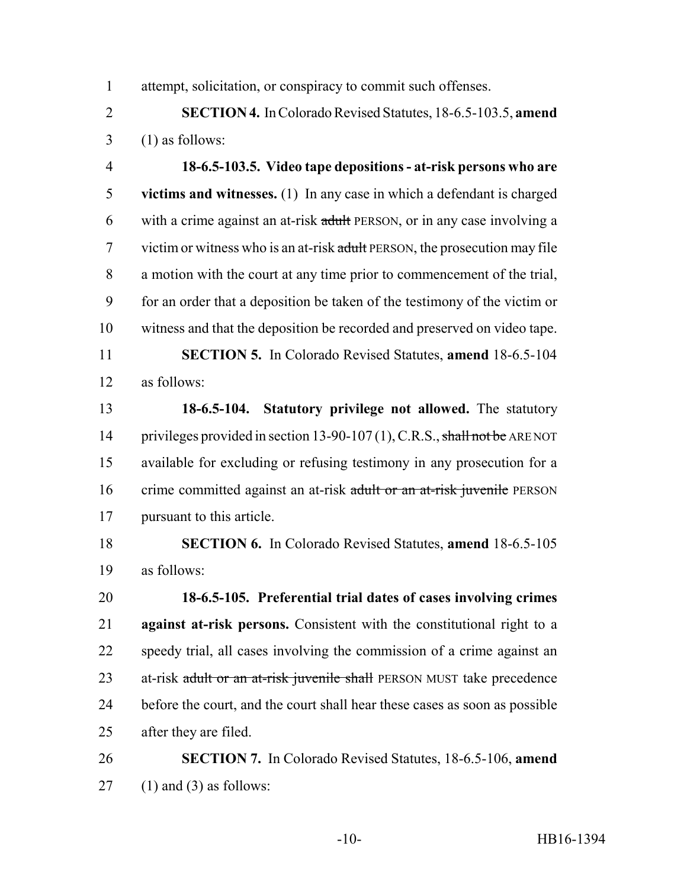attempt, solicitation, or conspiracy to commit such offenses.

 **SECTION 4.** In Colorado Revised Statutes, 18-6.5-103.5, **amend**  $3 \quad (1)$  as follows:

 **18-6.5-103.5. Video tape depositions - at-risk persons who are victims and witnesses.** (1) In any case in which a defendant is charged 6 with a crime against an at-risk adult PERSON, or in any case involving a 7 victim or witness who is an at-risk adult PERSON, the prosecution may file a motion with the court at any time prior to commencement of the trial, for an order that a deposition be taken of the testimony of the victim or witness and that the deposition be recorded and preserved on video tape. **SECTION 5.** In Colorado Revised Statutes, **amend** 18-6.5-104

as follows:

 **18-6.5-104. Statutory privilege not allowed.** The statutory 14 privileges provided in section 13-90-107 (1), C.R.S., shall not be ARENOT available for excluding or refusing testimony in any prosecution for a 16 crime committed against an at-risk adult or an at-risk juvenile PERSON pursuant to this article.

 **SECTION 6.** In Colorado Revised Statutes, **amend** 18-6.5-105 as follows:

 **18-6.5-105. Preferential trial dates of cases involving crimes against at-risk persons.** Consistent with the constitutional right to a speedy trial, all cases involving the commission of a crime against an 23 at-risk adult or an at-risk juvenile shall PERSON MUST take precedence before the court, and the court shall hear these cases as soon as possible after they are filed.

 **SECTION 7.** In Colorado Revised Statutes, 18-6.5-106, **amend** (1) and (3) as follows: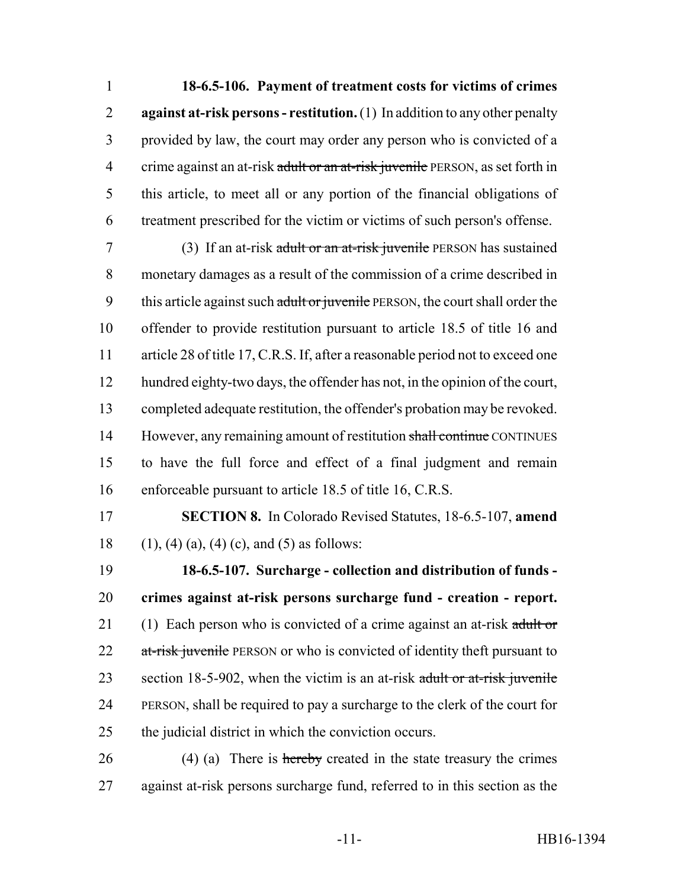**18-6.5-106. Payment of treatment costs for victims of crimes against at-risk persons - restitution.** (1) In addition to any other penalty provided by law, the court may order any person who is convicted of a 4 crime against an at-risk adult or an at-risk juvenile PERSON, as set forth in this article, to meet all or any portion of the financial obligations of treatment prescribed for the victim or victims of such person's offense.

 (3) If an at-risk adult or an at-risk juvenile PERSON has sustained monetary damages as a result of the commission of a crime described in 9 this article against such a <del>dult or juvenile</del> PERSON, the court shall order the offender to provide restitution pursuant to article 18.5 of title 16 and article 28 of title 17, C.R.S. If, after a reasonable period not to exceed one hundred eighty-two days, the offender has not, in the opinion of the court, completed adequate restitution, the offender's probation may be revoked. 14 However, any remaining amount of restitution shall continue CONTINUES to have the full force and effect of a final judgment and remain enforceable pursuant to article 18.5 of title 16, C.R.S.

 **SECTION 8.** In Colorado Revised Statutes, 18-6.5-107, **amend** 18 (1), (4) (a), (4) (c), and (5) as follows:

 **18-6.5-107. Surcharge - collection and distribution of funds - crimes against at-risk persons surcharge fund - creation - report.** 21 (1) Each person who is convicted of a crime against an at-risk adult or 22 at-risk juvenile PERSON or who is convicted of identity theft pursuant to 23 section 18-5-902, when the victim is an at-risk adult or at-risk juvenile PERSON, shall be required to pay a surcharge to the clerk of the court for the judicial district in which the conviction occurs.

26 (4) (a) There is hereby created in the state treasury the crimes against at-risk persons surcharge fund, referred to in this section as the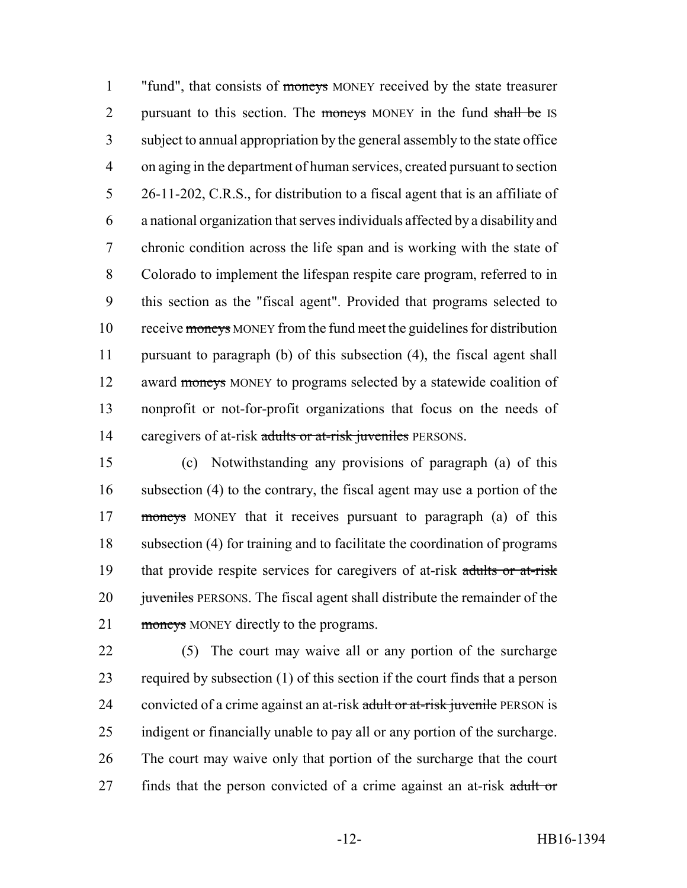1 "fund", that consists of moneys MONEY received by the state treasurer 2 pursuant to this section. The moneys MONEY in the fund shall be IS subject to annual appropriation by the general assembly to the state office on aging in the department of human services, created pursuant to section 26-11-202, C.R.S., for distribution to a fiscal agent that is an affiliate of a national organization that serves individuals affected by a disability and chronic condition across the life span and is working with the state of Colorado to implement the lifespan respite care program, referred to in this section as the "fiscal agent". Provided that programs selected to receive moneys MONEY from the fund meet the guidelines for distribution pursuant to paragraph (b) of this subsection (4), the fiscal agent shall 12 award moneys MONEY to programs selected by a statewide coalition of nonprofit or not-for-profit organizations that focus on the needs of 14 caregivers of at-risk adults or at-risk juveniles PERSONS.

 (c) Notwithstanding any provisions of paragraph (a) of this subsection (4) to the contrary, the fiscal agent may use a portion of the 17 moneys MONEY that it receives pursuant to paragraph (a) of this subsection (4) for training and to facilitate the coordination of programs 19 that provide respite services for caregivers of at-risk adults or at-risk 20 juveniles PERSONS. The fiscal agent shall distribute the remainder of the 21 moneys MONEY directly to the programs.

 (5) The court may waive all or any portion of the surcharge required by subsection (1) of this section if the court finds that a person 24 convicted of a crime against an at-risk adult or at-risk juvenile PERSON is indigent or financially unable to pay all or any portion of the surcharge. The court may waive only that portion of the surcharge that the court 27 finds that the person convicted of a crime against an at-risk adult or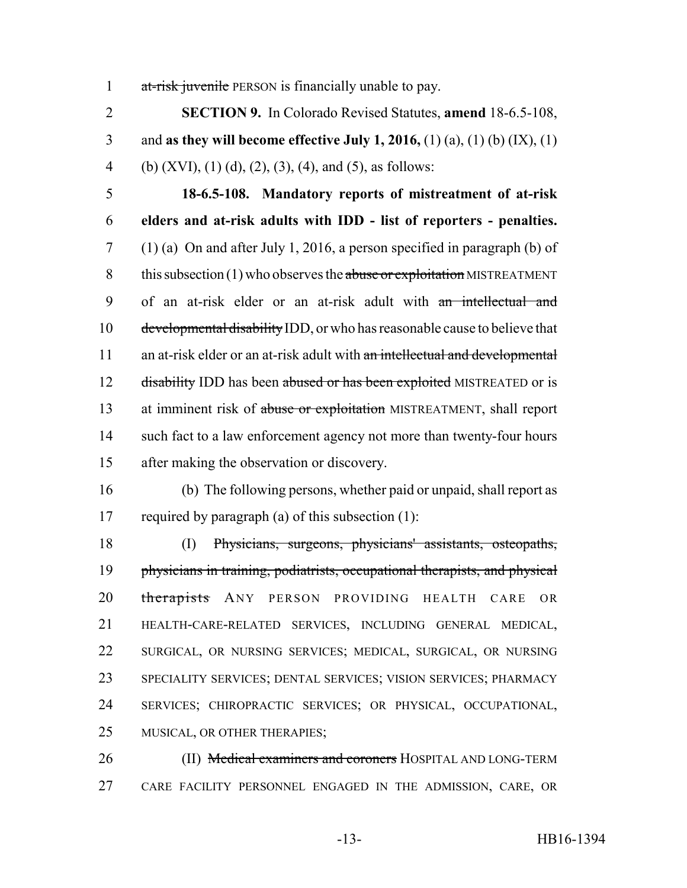1 at-risk juvenile PERSON is financially unable to pay.

 **SECTION 9.** In Colorado Revised Statutes, **amend** 18-6.5-108, and **as they will become effective July 1, 2016,** (1) (a), (1) (b) (IX), (1) 4 (b)  $(XVI)$ ,  $(1)$   $(d)$ ,  $(2)$ ,  $(3)$ ,  $(4)$ , and  $(5)$ , as follows:

 **18-6.5-108. Mandatory reports of mistreatment of at-risk elders and at-risk adults with IDD - list of reporters - penalties.** (1) (a) On and after July 1, 2016, a person specified in paragraph (b) of 8 this subsection  $(1)$  who observes the abuse or exploitation MISTREATMENT of an at-risk elder or an at-risk adult with an intellectual and 10 developmental disability IDD, or who has reasonable cause to believe that 11 an at-risk elder or an at-risk adult with an intellectual and developmental 12 disability IDD has been abused or has been exploited MISTREATED or is 13 at imminent risk of abuse or exploitation MISTREATMENT, shall report 14 such fact to a law enforcement agency not more than twenty-four hours after making the observation or discovery.

 (b) The following persons, whether paid or unpaid, shall report as required by paragraph (a) of this subsection (1):

 (I) Physicians, surgeons, physicians' assistants, osteopaths, physicians in training, podiatrists, occupational therapists, and physical 20 therapists ANY PERSON PROVIDING HEALTH CARE OR HEALTH-CARE-RELATED SERVICES, INCLUDING GENERAL MEDICAL, SURGICAL, OR NURSING SERVICES; MEDICAL, SURGICAL, OR NURSING SPECIALITY SERVICES; DENTAL SERVICES; VISION SERVICES; PHARMACY SERVICES; CHIROPRACTIC SERVICES; OR PHYSICAL, OCCUPATIONAL, MUSICAL, OR OTHER THERAPIES;

26 (II) Medical examiners and coroners HOSPITAL AND LONG-TERM CARE FACILITY PERSONNEL ENGAGED IN THE ADMISSION, CARE, OR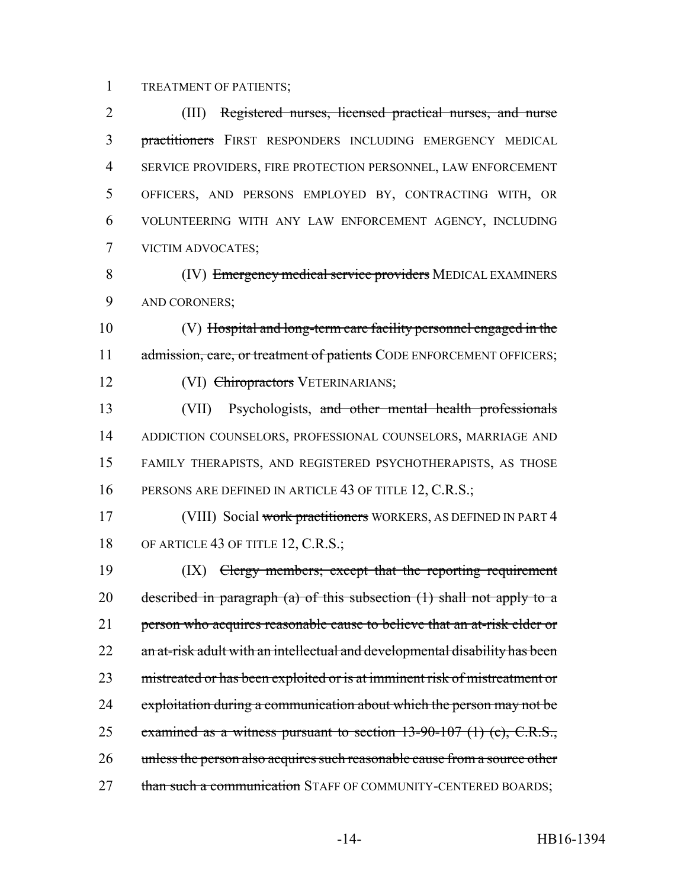1 TREATMENT OF PATIENTS;

 (III) Registered nurses, licensed practical nurses, and nurse practitioners FIRST RESPONDERS INCLUDING EMERGENCY MEDICAL SERVICE PROVIDERS, FIRE PROTECTION PERSONNEL, LAW ENFORCEMENT OFFICERS, AND PERSONS EMPLOYED BY, CONTRACTING WITH, OR VOLUNTEERING WITH ANY LAW ENFORCEMENT AGENCY, INCLUDING VICTIM ADVOCATES;

8 (IV) Emergency medical service providers MEDICAL EXAMINERS 9 AND CORONERS;

10 (V) Hospital and long-term care facility personnel engaged in the 11 admission, care, or treatment of patients CODE ENFORCEMENT OFFICERS;

12 (VI) Chiropractors VETERINARIANS;

 (VII) Psychologists, and other mental health professionals ADDICTION COUNSELORS, PROFESSIONAL COUNSELORS, MARRIAGE AND FAMILY THERAPISTS, AND REGISTERED PSYCHOTHERAPISTS, AS THOSE 16 PERSONS ARE DEFINED IN ARTICLE 43 OF TITLE 12, C.R.S.;

17 (VIII) Social work practitioners WORKERS, AS DEFINED IN PART 4 18 OF ARTICLE 43 OF TITLE 12, C.R.S.;

19 (IX) Clergy members; except that the reporting requirement 20 described in paragraph (a) of this subsection  $(1)$  shall not apply to a 21 person who acquires reasonable cause to believe that an at-risk elder or 22 an at-risk adult with an intellectual and developmental disability has been 23 mistreated or has been exploited or is at imminent risk of mistreatment or 24 exploitation during a communication about which the person may not be 25 examined as a witness pursuant to section  $13-90-107$  (1) (c), C.R.S., 26 unless the person also acquires such reasonable cause from a source other 27 than such a communication STAFF OF COMMUNITY-CENTERED BOARDS;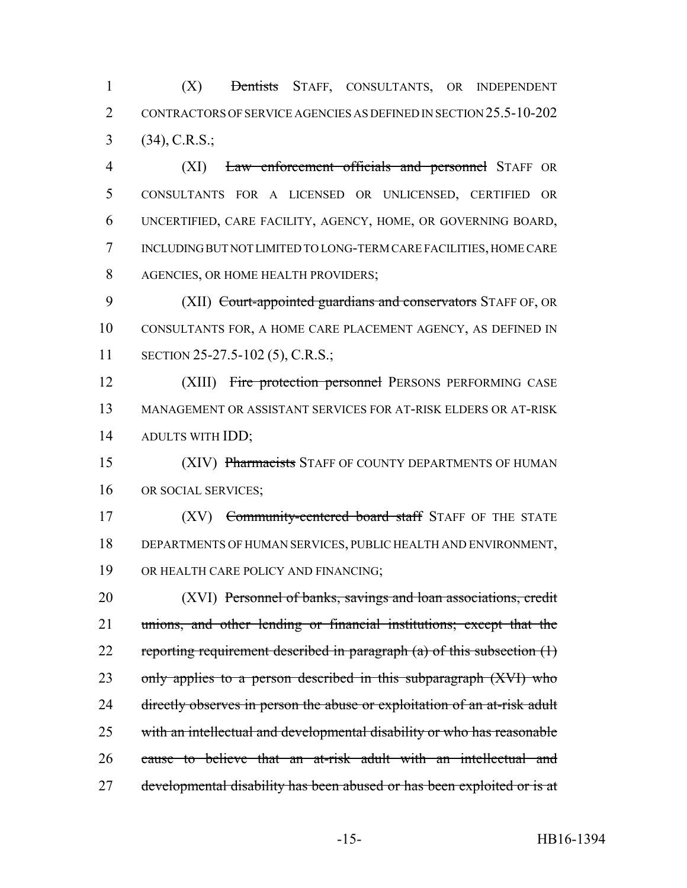1 (X) <del>Dentists</del> STAFF, CONSULTANTS, OR INDEPENDENT 2 CONTRACTORS OF SERVICE AGENCIES AS DEFINED IN SECTION 25.5-10-202 3 (34), C.R.S.;

4 (XI) Law enforcement officials and personnel STAFF OR CONSULTANTS FOR A LICENSED OR UNLICENSED, CERTIFIED OR UNCERTIFIED, CARE FACILITY, AGENCY, HOME, OR GOVERNING BOARD, INCLUDING BUT NOT LIMITED TO LONG-TERM CARE FACILITIES, HOME CARE AGENCIES, OR HOME HEALTH PROVIDERS;

9 (XII) Court-appointed guardians and conservators STAFF OF, OR 10 CONSULTANTS FOR, A HOME CARE PLACEMENT AGENCY, AS DEFINED IN 11 SECTION 25-27.5-102 (5), C.R.S.;

12 (XIII) Fire protection personnel PERSONS PERFORMING CASE 13 MANAGEMENT OR ASSISTANT SERVICES FOR AT-RISK ELDERS OR AT-RISK 14 ADULTS WITH IDD;

15 (XIV) Pharmacists STAFF OF COUNTY DEPARTMENTS OF HUMAN 16 OR SOCIAL SERVICES;

17 (XV) Community-centered board staff STAFF OF THE STATE 18 DEPARTMENTS OF HUMAN SERVICES, PUBLIC HEALTH AND ENVIRONMENT, 19 OR HEALTH CARE POLICY AND FINANCING;

20 (XVI) Personnel of banks, savings and loan associations, credit 21 unions, and other lending or financial institutions; except that the 22 reporting requirement described in paragraph  $(a)$  of this subsection  $(1)$ 23 only applies to a person described in this subparagraph (XVI) who 24 directly observes in person the abuse or exploitation of an at-risk adult 25 with an intellectual and developmental disability or who has reasonable 26 cause to believe that an at-risk adult with an intellectual and 27 developmental disability has been abused or has been exploited or is at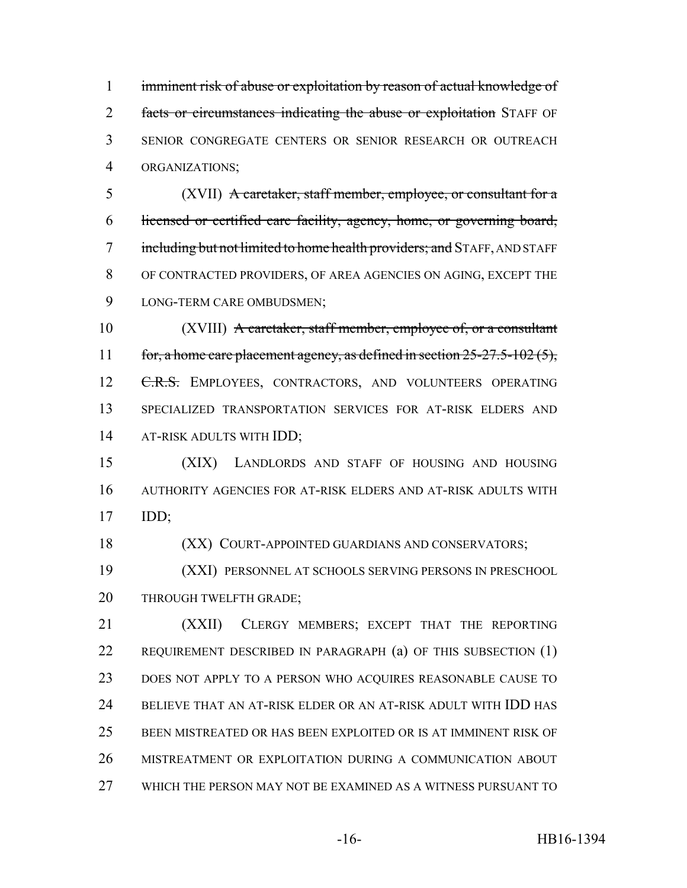1 imminent risk of abuse or exploitation by reason of actual knowledge of 2 facts or circumstances indicating the abuse or exploitation STAFF OF SENIOR CONGREGATE CENTERS OR SENIOR RESEARCH OR OUTREACH ORGANIZATIONS;

 (XVII) A caretaker, staff member, employee, or consultant for a licensed or certified care facility, agency, home, or governing board, 7 including but not limited to home health providers; and STAFF, AND STAFF OF CONTRACTED PROVIDERS, OF AREA AGENCIES ON AGING, EXCEPT THE LONG-TERM CARE OMBUDSMEN;

 (XVIII) A caretaker, staff member, employee of, or a consultant 11 for, a home care placement agency, as defined in section 25-27.5-102 (5), 12 C.R.S. EMPLOYEES, CONTRACTORS, AND VOLUNTEERS OPERATING SPECIALIZED TRANSPORTATION SERVICES FOR AT-RISK ELDERS AND AT-RISK ADULTS WITH IDD;

 (XIX) LANDLORDS AND STAFF OF HOUSING AND HOUSING AUTHORITY AGENCIES FOR AT-RISK ELDERS AND AT-RISK ADULTS WITH IDD;

**(XX) COURT-APPOINTED GUARDIANS AND CONSERVATORS;** 

 (XXI) PERSONNEL AT SCHOOLS SERVING PERSONS IN PRESCHOOL 20 THROUGH TWELFTH GRADE;

 (XXII) CLERGY MEMBERS; EXCEPT THAT THE REPORTING REQUIREMENT DESCRIBED IN PARAGRAPH (a) OF THIS SUBSECTION (1) DOES NOT APPLY TO A PERSON WHO ACQUIRES REASONABLE CAUSE TO BELIEVE THAT AN AT-RISK ELDER OR AN AT-RISK ADULT WITH IDD HAS BEEN MISTREATED OR HAS BEEN EXPLOITED OR IS AT IMMINENT RISK OF MISTREATMENT OR EXPLOITATION DURING A COMMUNICATION ABOUT WHICH THE PERSON MAY NOT BE EXAMINED AS A WITNESS PURSUANT TO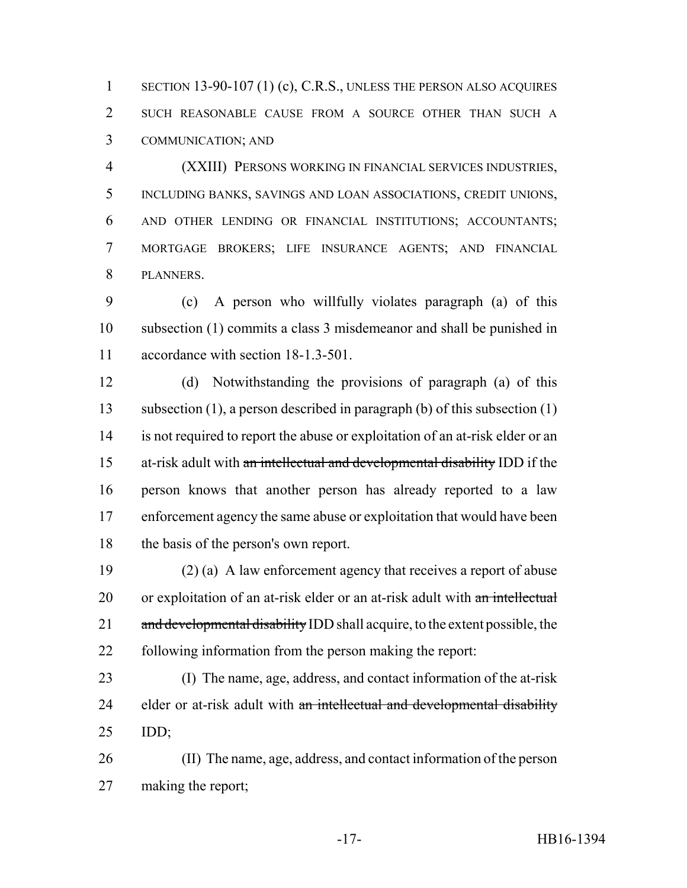1 SECTION 13-90-107 (1) (c), C.R.S., UNLESS THE PERSON ALSO ACQUIRES 2 SUCH REASONABLE CAUSE FROM A SOURCE OTHER THAN SUCH A COMMUNICATION; AND

 (XXIII) PERSONS WORKING IN FINANCIAL SERVICES INDUSTRIES, INCLUDING BANKS, SAVINGS AND LOAN ASSOCIATIONS, CREDIT UNIONS, AND OTHER LENDING OR FINANCIAL INSTITUTIONS; ACCOUNTANTS; MORTGAGE BROKERS; LIFE INSURANCE AGENTS; AND FINANCIAL PLANNERS.

 (c) A person who willfully violates paragraph (a) of this subsection (1) commits a class 3 misdemeanor and shall be punished in accordance with section 18-1.3-501.

 (d) Notwithstanding the provisions of paragraph (a) of this subsection (1), a person described in paragraph (b) of this subsection (1) is not required to report the abuse or exploitation of an at-risk elder or an 15 at-risk adult with an intellectual and developmental disability IDD if the person knows that another person has already reported to a law enforcement agency the same abuse or exploitation that would have been the basis of the person's own report.

 (2) (a) A law enforcement agency that receives a report of abuse 20 or exploitation of an at-risk elder or an at-risk adult with an intellectual 21 and developmental disability IDD shall acquire, to the extent possible, the following information from the person making the report:

 (I) The name, age, address, and contact information of the at-risk 24 elder or at-risk adult with an intellectual and developmental disability IDD;

 (II) The name, age, address, and contact information of the person making the report;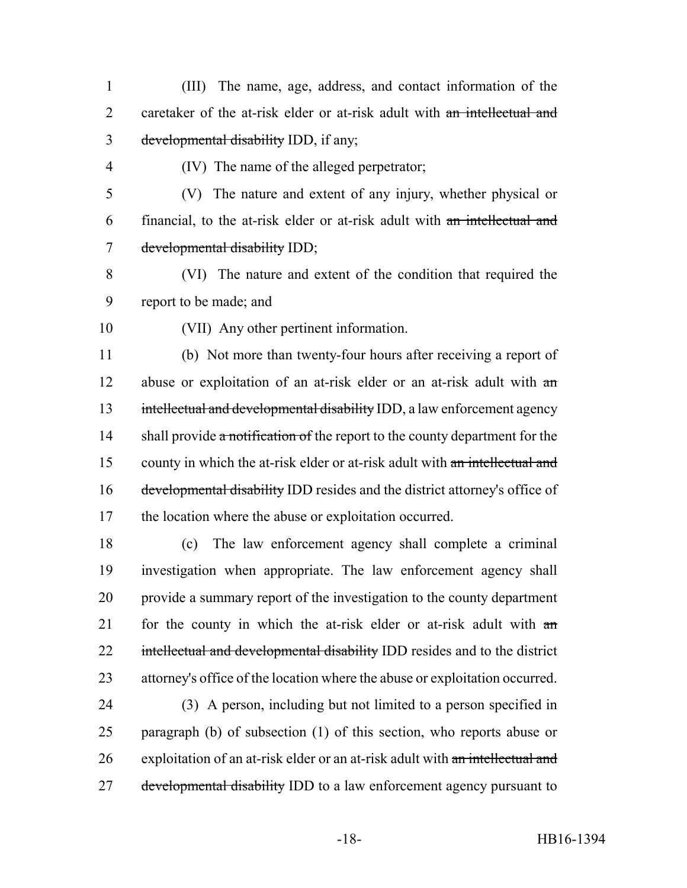- (III) The name, age, address, and contact information of the 2 caretaker of the at-risk elder or at-risk adult with an intellectual and developmental disability IDD, if any;
- 

(IV) The name of the alleged perpetrator;

- (V) The nature and extent of any injury, whether physical or financial, to the at-risk elder or at-risk adult with an intellectual and developmental disability IDD;
- (VI) The nature and extent of the condition that required the report to be made; and
- 

(VII) Any other pertinent information.

 (b) Not more than twenty-four hours after receiving a report of 12 abuse or exploitation of an at-risk elder or an at-risk adult with  $\pi$ 13 intellectual and developmental disability IDD, a law enforcement agency 14 shall provide a notification of the report to the county department for the 15 county in which the at-risk elder or at-risk adult with an intellectual and developmental disability IDD resides and the district attorney's office of 17 the location where the abuse or exploitation occurred.

 (c) The law enforcement agency shall complete a criminal investigation when appropriate. The law enforcement agency shall provide a summary report of the investigation to the county department 21 for the county in which the at-risk elder or at-risk adult with  $a_n$ 22 intellectual and developmental disability IDD resides and to the district attorney's office of the location where the abuse or exploitation occurred.

 (3) A person, including but not limited to a person specified in paragraph (b) of subsection (1) of this section, who reports abuse or 26 exploitation of an at-risk elder or an at-risk adult with an intellectual and 27 developmental disability IDD to a law enforcement agency pursuant to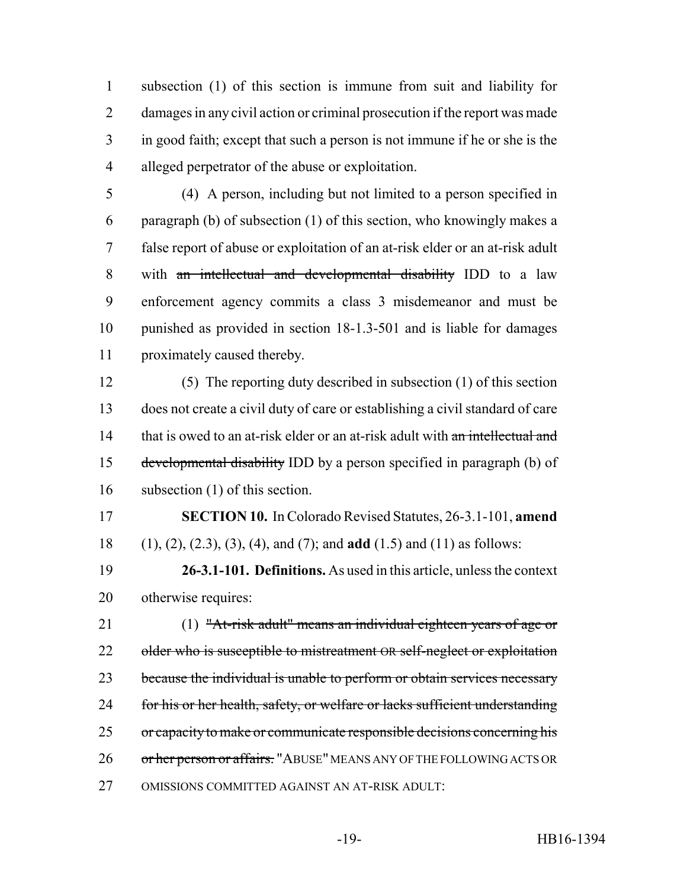subsection (1) of this section is immune from suit and liability for damages in any civil action or criminal prosecution if the report was made in good faith; except that such a person is not immune if he or she is the alleged perpetrator of the abuse or exploitation.

 (4) A person, including but not limited to a person specified in paragraph (b) of subsection (1) of this section, who knowingly makes a false report of abuse or exploitation of an at-risk elder or an at-risk adult with an intellectual and developmental disability IDD to a law enforcement agency commits a class 3 misdemeanor and must be punished as provided in section 18-1.3-501 and is liable for damages proximately caused thereby.

 (5) The reporting duty described in subsection (1) of this section does not create a civil duty of care or establishing a civil standard of care 14 that is owed to an at-risk elder or an at-risk adult with an intellectual and developmental disability IDD by a person specified in paragraph (b) of subsection (1) of this section.

 **SECTION 10.** In Colorado Revised Statutes, 26-3.1-101, **amend** (1), (2), (2.3), (3), (4), and (7); and **add** (1.5) and (11) as follows:

 **26-3.1-101. Definitions.** As used in this article, unless the context otherwise requires:

 (1) "At-risk adult" means an individual eighteen years of age or 22 older who is susceptible to mistreatment OR self-neglect or exploitation 23 because the individual is unable to perform or obtain services necessary for his or her health, safety, or welfare or lacks sufficient understanding 25 or capacity to make or communicate responsible decisions concerning his 26 or her person or affairs. "ABUSE" MEANS ANY OF THE FOLLOWING ACTS OR OMISSIONS COMMITTED AGAINST AN AT-RISK ADULT: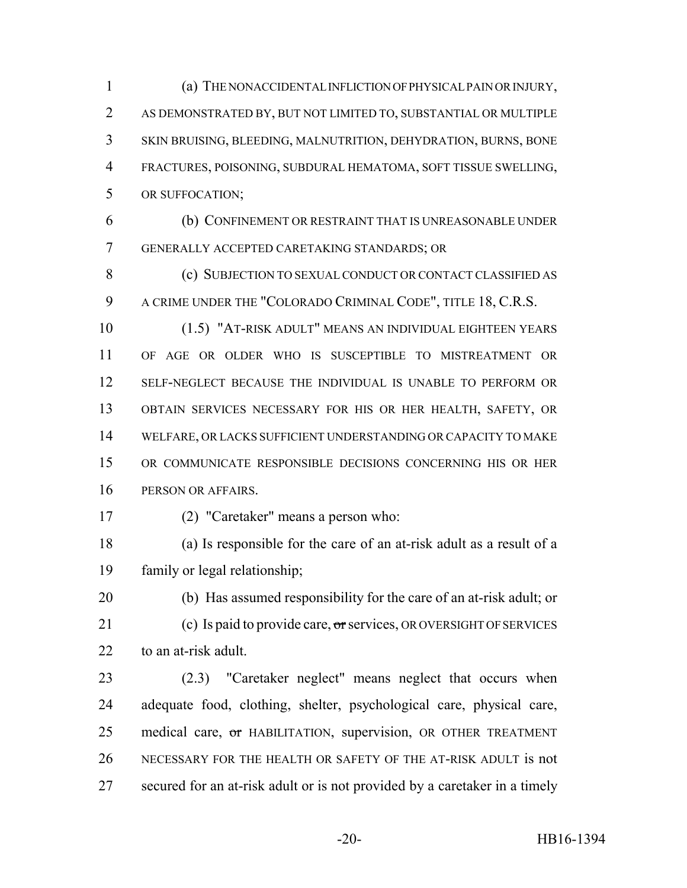(a) THE NONACCIDENTAL INFLICTION OF PHYSICAL PAIN OR INJURY, AS DEMONSTRATED BY, BUT NOT LIMITED TO, SUBSTANTIAL OR MULTIPLE SKIN BRUISING, BLEEDING, MALNUTRITION, DEHYDRATION, BURNS, BONE FRACTURES, POISONING, SUBDURAL HEMATOMA, SOFT TISSUE SWELLING, OR SUFFOCATION;

 (b) CONFINEMENT OR RESTRAINT THAT IS UNREASONABLE UNDER GENERALLY ACCEPTED CARETAKING STANDARDS; OR

8 (c) SUBJECTION TO SEXUAL CONDUCT OR CONTACT CLASSIFIED AS 9 A CRIME UNDER THE "COLORADO CRIMINAL CODE", TITLE 18, C.R.S.

 (1.5) "AT-RISK ADULT" MEANS AN INDIVIDUAL EIGHTEEN YEARS OF AGE OR OLDER WHO IS SUSCEPTIBLE TO MISTREATMENT OR SELF-NEGLECT BECAUSE THE INDIVIDUAL IS UNABLE TO PERFORM OR OBTAIN SERVICES NECESSARY FOR HIS OR HER HEALTH, SAFETY, OR WELFARE, OR LACKS SUFFICIENT UNDERSTANDING OR CAPACITY TO MAKE OR COMMUNICATE RESPONSIBLE DECISIONS CONCERNING HIS OR HER PERSON OR AFFAIRS.

(2) "Caretaker" means a person who:

 (a) Is responsible for the care of an at-risk adult as a result of a family or legal relationship;

 (b) Has assumed responsibility for the care of an at-risk adult; or 21 (c) Is paid to provide care, or services, OR OVERSIGHT OF SERVICES 22 to an at-risk adult.

 (2.3) "Caretaker neglect" means neglect that occurs when adequate food, clothing, shelter, psychological care, physical care, 25 medical care, or HABILITATION, supervision, OR OTHER TREATMENT NECESSARY FOR THE HEALTH OR SAFETY OF THE AT-RISK ADULT is not secured for an at-risk adult or is not provided by a caretaker in a timely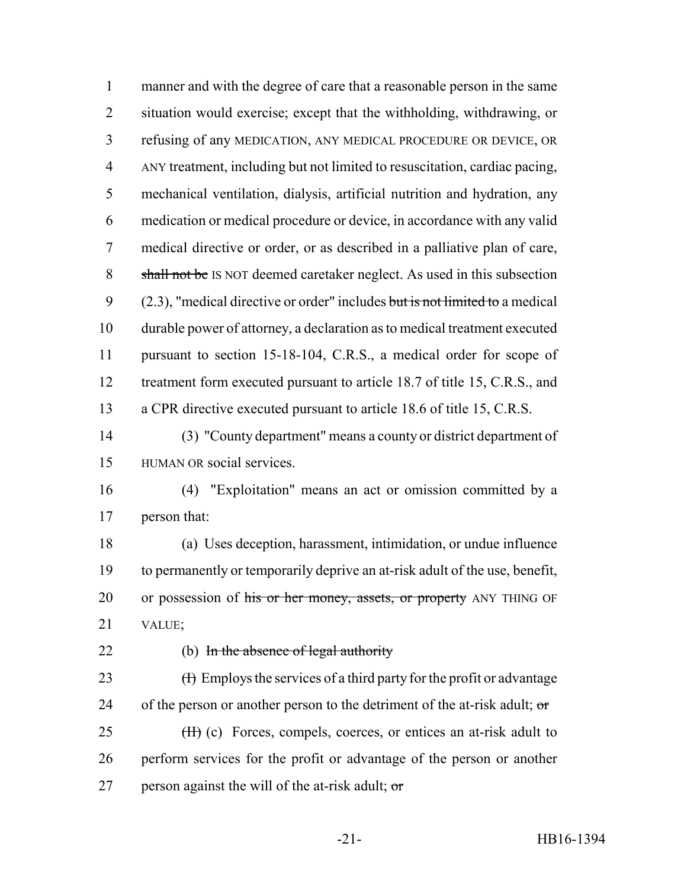manner and with the degree of care that a reasonable person in the same situation would exercise; except that the withholding, withdrawing, or refusing of any MEDICATION, ANY MEDICAL PROCEDURE OR DEVICE, OR ANY treatment, including but not limited to resuscitation, cardiac pacing, mechanical ventilation, dialysis, artificial nutrition and hydration, any medication or medical procedure or device, in accordance with any valid medical directive or order, or as described in a palliative plan of care, 8 shall not be IS NOT deemed caretaker neglect. As used in this subsection  $(2.3)$ , "medical directive or order" includes but is not limited to a medical durable power of attorney, a declaration as to medical treatment executed pursuant to section 15-18-104, C.R.S., a medical order for scope of 12 treatment form executed pursuant to article 18.7 of title 15, C.R.S., and a CPR directive executed pursuant to article 18.6 of title 15, C.R.S. (3) "County department" means a county or district department of HUMAN OR social services. (4) "Exploitation" means an act or omission committed by a person that:

 (a) Uses deception, harassment, intimidation, or undue influence to permanently or temporarily deprive an at-risk adult of the use, benefit, 20 or possession of his or her money, assets, or property ANY THING OF VALUE;

### 22 (b) In the absence of legal authority

23 (I) Employs the services of a third party for the profit or advantage 24 of the person or another person to the detriment of the at-risk adult;  $\sigma$ 25 (H) (c) Forces, compels, coerces, or entices an at-risk adult to perform services for the profit or advantage of the person or another 27 person against the will of the at-risk adult;  $\sigma$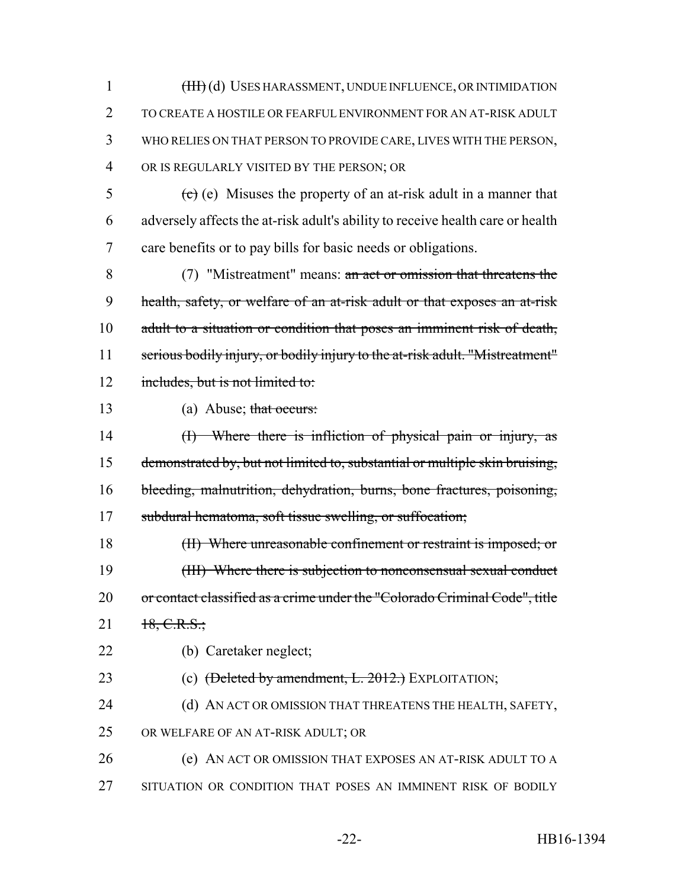1 (III) (d) USES HARASSMENT, UNDUE INFLUENCE, OR INTIMIDATION TO CREATE A HOSTILE OR FEARFUL ENVIRONMENT FOR AN AT-RISK ADULT WHO RELIES ON THAT PERSON TO PROVIDE CARE, LIVES WITH THE PERSON, OR IS REGULARLY VISITED BY THE PERSON; OR

 $\epsilon$   $\epsilon$  (e) Misuses the property of an at-risk adult in a manner that adversely affects the at-risk adult's ability to receive health care or health care benefits or to pay bills for basic needs or obligations.

 (7) "Mistreatment" means: an act or omission that threatens the health, safety, or welfare of an at-risk adult or that exposes an at-risk 10 adult to a situation or condition that poses an imminent risk of death, serious bodily injury, or bodily injury to the at-risk adult. "Mistreatment" 12 includes, but is not limited to:

13 (a) Abuse; that occurs:

14 (I) Where there is infliction of physical pain or injury, as demonstrated by, but not limited to, substantial or multiple skin bruising, bleeding, malnutrition, dehydration, burns, bone fractures, poisoning, subdural hematoma, soft tissue swelling, or suffocation;

 (II) Where unreasonable confinement or restraint is imposed; or (III) Where there is subjection to nonconsensual sexual conduct or contact classified as a crime under the "Colorado Criminal Code", title 18, C.R.S.;

(b) Caretaker neglect;

23 (c) <del>(Deleted by amendment, L. 2012.)</del> EXPLOITATION;

**(d) AN ACT OR OMISSION THAT THREATENS THE HEALTH, SAFETY,** 

OR WELFARE OF AN AT-RISK ADULT; OR

 (e) AN ACT OR OMISSION THAT EXPOSES AN AT-RISK ADULT TO A SITUATION OR CONDITION THAT POSES AN IMMINENT RISK OF BODILY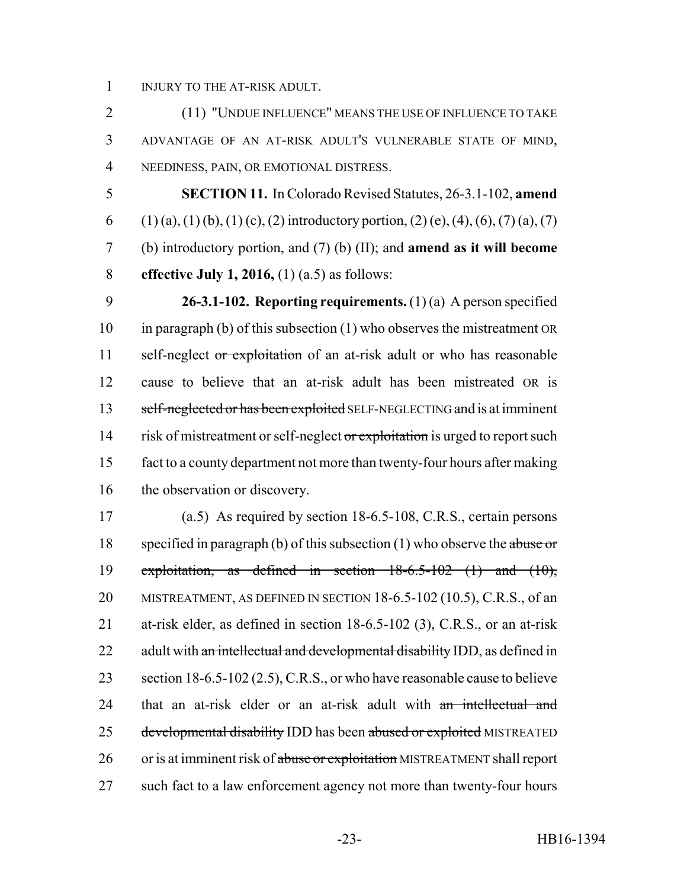1 INJURY TO THE AT-RISK ADULT.

2 (11) "UNDUE INFLUENCE" MEANS THE USE OF INFLUENCE TO TAKE 3 ADVANTAGE OF AN AT-RISK ADULT'S VULNERABLE STATE OF MIND, 4 NEEDINESS, PAIN, OR EMOTIONAL DISTRESS.

 **SECTION 11.** In Colorado Revised Statutes, 26-3.1-102, **amend** 6 (1) (a), (1) (b), (1) (c), (2) introductory portion, (2) (e), (4), (6), (7) (a), (7) (b) introductory portion, and (7) (b) (II); and **amend as it will become effective July 1, 2016,** (1) (a.5) as follows:

9 **26-3.1-102. Reporting requirements.** (1) (a) A person specified 10 in paragraph (b) of this subsection (1) who observes the mistreatment OR 11 self-neglect or exploitation of an at-risk adult or who has reasonable 12 cause to believe that an at-risk adult has been mistreated OR is 13 self-neglected or has been exploited SELF-NEGLECTING and is at imminent 14 risk of mistreatment or self-neglect or exploitation is urged to report such 15 fact to a county department not more than twenty-four hours after making 16 the observation or discovery.

17 (a.5) As required by section 18-6.5-108, C.R.S., certain persons 18 specified in paragraph (b) of this subsection (1) who observe the abuse or 19 exploitation, as defined in section  $18-6.5-102$  (1) and (10), 20 MISTREATMENT, AS DEFINED IN SECTION 18-6.5-102 (10.5), C.R.S., of an 21 at-risk elder, as defined in section 18-6.5-102 (3), C.R.S., or an at-risk 22 adult with an intellectual and developmental disability IDD, as defined in 23 section 18-6.5-102 (2.5), C.R.S., or who have reasonable cause to believe 24 that an at-risk elder or an at-risk adult with an intellectual and 25 developmental disability IDD has been abused or exploited MISTREATED 26 or is at imminent risk of abuse or exploitation MISTREATMENT shall report 27 such fact to a law enforcement agency not more than twenty-four hours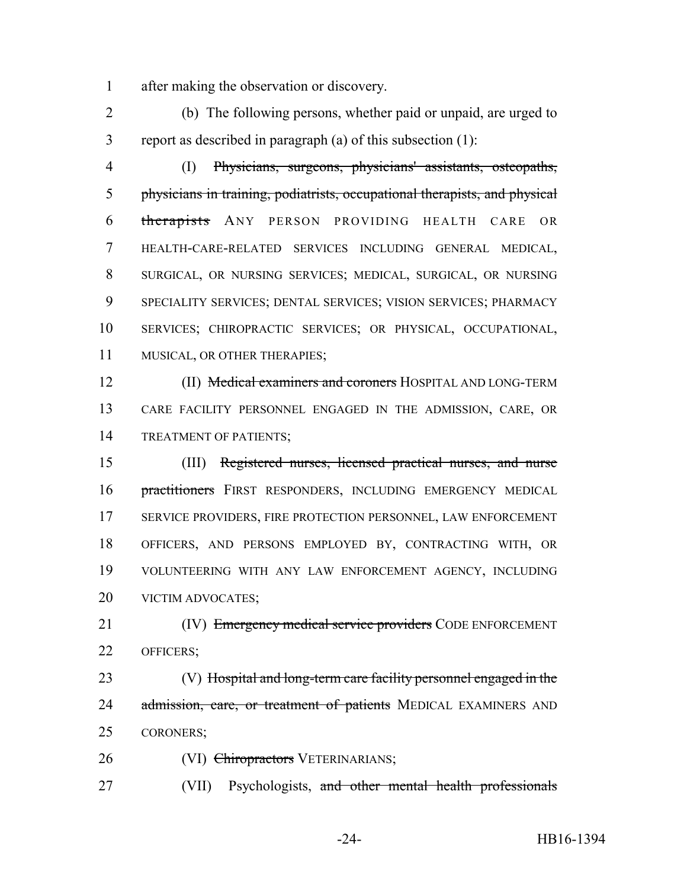after making the observation or discovery.

 (b) The following persons, whether paid or unpaid, are urged to report as described in paragraph (a) of this subsection (1):

 (I) Physicians, surgeons, physicians' assistants, osteopaths, physicians in training, podiatrists, occupational therapists, and physical 6 therapists ANY PERSON PROVIDING HEALTH CARE OR HEALTH-CARE-RELATED SERVICES INCLUDING GENERAL MEDICAL, SURGICAL, OR NURSING SERVICES; MEDICAL, SURGICAL, OR NURSING SPECIALITY SERVICES; DENTAL SERVICES; VISION SERVICES; PHARMACY SERVICES; CHIROPRACTIC SERVICES; OR PHYSICAL, OCCUPATIONAL, 11 MUSICAL, OR OTHER THERAPIES;

12 (II) Medical examiners and coroners HOSPITAL AND LONG-TERM CARE FACILITY PERSONNEL ENGAGED IN THE ADMISSION, CARE, OR TREATMENT OF PATIENTS;

 (III) Registered nurses, licensed practical nurses, and nurse 16 practitioners FIRST RESPONDERS, INCLUDING EMERGENCY MEDICAL SERVICE PROVIDERS, FIRE PROTECTION PERSONNEL, LAW ENFORCEMENT OFFICERS, AND PERSONS EMPLOYED BY, CONTRACTING WITH, OR VOLUNTEERING WITH ANY LAW ENFORCEMENT AGENCY, INCLUDING VICTIM ADVOCATES;

21 (IV) Emergency medical service providers CODE ENFORCEMENT OFFICERS;

 (V) Hospital and long-term care facility personnel engaged in the 24 admission, care, or treatment of patients MEDICAL EXAMINERS AND CORONERS;

26 (VI) Chiropractors VETERINARIANS;

27 (VII) Psychologists, and other mental health professionals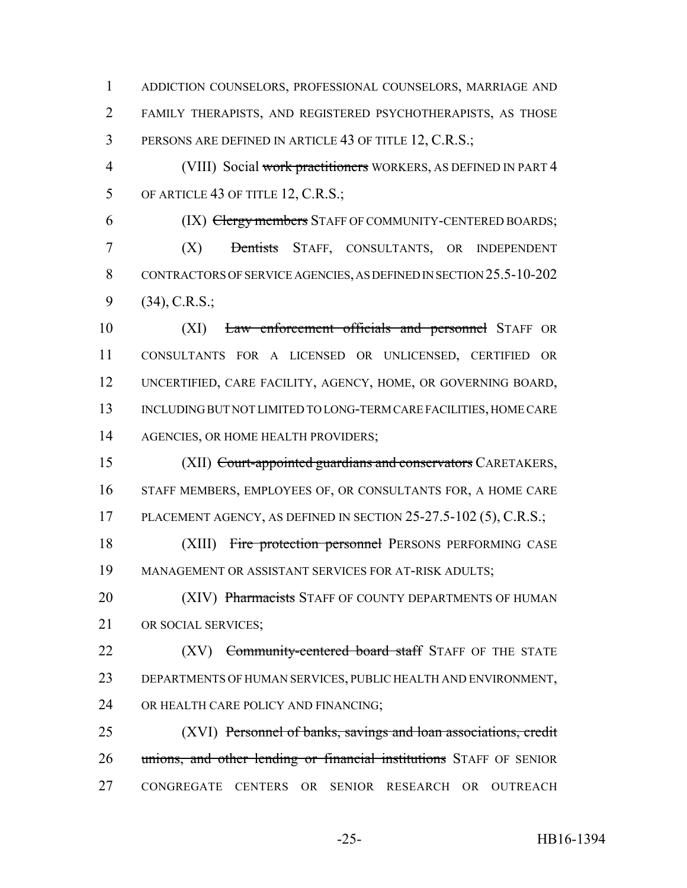ADDICTION COUNSELORS, PROFESSIONAL COUNSELORS, MARRIAGE AND FAMILY THERAPISTS, AND REGISTERED PSYCHOTHERAPISTS, AS THOSE PERSONS ARE DEFINED IN ARTICLE 43 OF TITLE 12, C.R.S.;

 (VIII) Social work practitioners WORKERS, AS DEFINED IN PART 4 5 OF ARTICLE 43 OF TITLE 12, C.R.S.;

6 (IX) Clergy members STAFF OF COMMUNITY-CENTERED BOARDS;

 (X) Dentists STAFF, CONSULTANTS, OR INDEPENDENT CONTRACTORS OF SERVICE AGENCIES, AS DEFINED IN SECTION 25.5-10-202 (34), C.R.S.;

10 (XI) <del>Law enforcement officials and personnel</del> STAFF OR CONSULTANTS FOR A LICENSED OR UNLICENSED, CERTIFIED OR UNCERTIFIED, CARE FACILITY, AGENCY, HOME, OR GOVERNING BOARD, INCLUDING BUT NOT LIMITED TO LONG-TERM CARE FACILITIES, HOME CARE 14 AGENCIES, OR HOME HEALTH PROVIDERS;

 (XII) Court-appointed guardians and conservators CARETAKERS, STAFF MEMBERS, EMPLOYEES OF, OR CONSULTANTS FOR, A HOME CARE 17 PLACEMENT AGENCY, AS DEFINED IN SECTION 25-27.5-102 (5), C.R.S.;

18 (XIII) Fire protection personnel PERSONS PERFORMING CASE MANAGEMENT OR ASSISTANT SERVICES FOR AT-RISK ADULTS;

20 (XIV) Pharmacists STAFF OF COUNTY DEPARTMENTS OF HUMAN 21 OR SOCIAL SERVICES:

22 (XV) Community-centered board staff STAFF OF THE STATE DEPARTMENTS OF HUMAN SERVICES, PUBLIC HEALTH AND ENVIRONMENT, OR HEALTH CARE POLICY AND FINANCING;

 (XVI) Personnel of banks, savings and loan associations, credit 26 unions, and other lending or financial institutions STAFF OF SENIOR CONGREGATE CENTERS OR SENIOR RESEARCH OR OUTREACH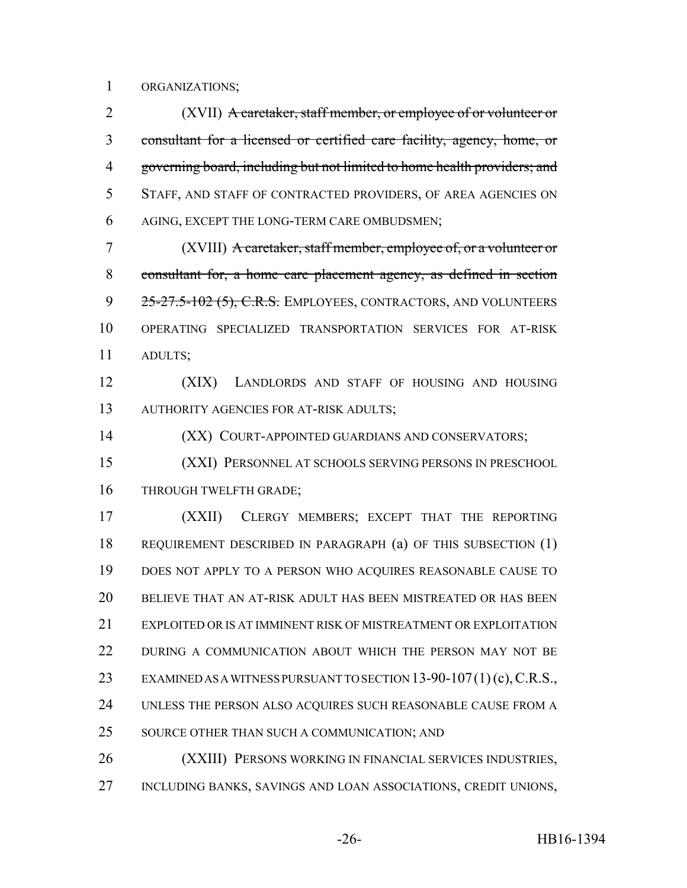ORGANIZATIONS;

2 (XVII) A caretaker, staff member, or employee of or volunteer or consultant for a licensed or certified care facility, agency, home, or governing board, including but not limited to home health providers; and STAFF, AND STAFF OF CONTRACTED PROVIDERS, OF AREA AGENCIES ON AGING, EXCEPT THE LONG-TERM CARE OMBUDSMEN; (XVIII) A caretaker, staff member, employee of, or a volunteer or

 consultant for, a home care placement agency, as defined in section 9 25-27.5-102 (5), C.R.S. EMPLOYEES, CONTRACTORS, AND VOLUNTEERS OPERATING SPECIALIZED TRANSPORTATION SERVICES FOR AT-RISK ADULTS;

 (XIX) LANDLORDS AND STAFF OF HOUSING AND HOUSING AUTHORITY AGENCIES FOR AT-RISK ADULTS;

**(XX) COURT-APPOINTED GUARDIANS AND CONSERVATORS;** 

 (XXI) PERSONNEL AT SCHOOLS SERVING PERSONS IN PRESCHOOL THROUGH TWELFTH GRADE;

 (XXII) CLERGY MEMBERS; EXCEPT THAT THE REPORTING REQUIREMENT DESCRIBED IN PARAGRAPH (a) OF THIS SUBSECTION (1) DOES NOT APPLY TO A PERSON WHO ACQUIRES REASONABLE CAUSE TO BELIEVE THAT AN AT-RISK ADULT HAS BEEN MISTREATED OR HAS BEEN EXPLOITED OR IS AT IMMINENT RISK OF MISTREATMENT OR EXPLOITATION 22 DURING A COMMUNICATION ABOUT WHICH THE PERSON MAY NOT BE EXAMINED AS A WITNESS PURSUANT TO SECTION 13-90-107(1) (c), C.R.S., UNLESS THE PERSON ALSO ACQUIRES SUCH REASONABLE CAUSE FROM A SOURCE OTHER THAN SUCH A COMMUNICATION; AND (XXIII) PERSONS WORKING IN FINANCIAL SERVICES INDUSTRIES,

INCLUDING BANKS, SAVINGS AND LOAN ASSOCIATIONS, CREDIT UNIONS,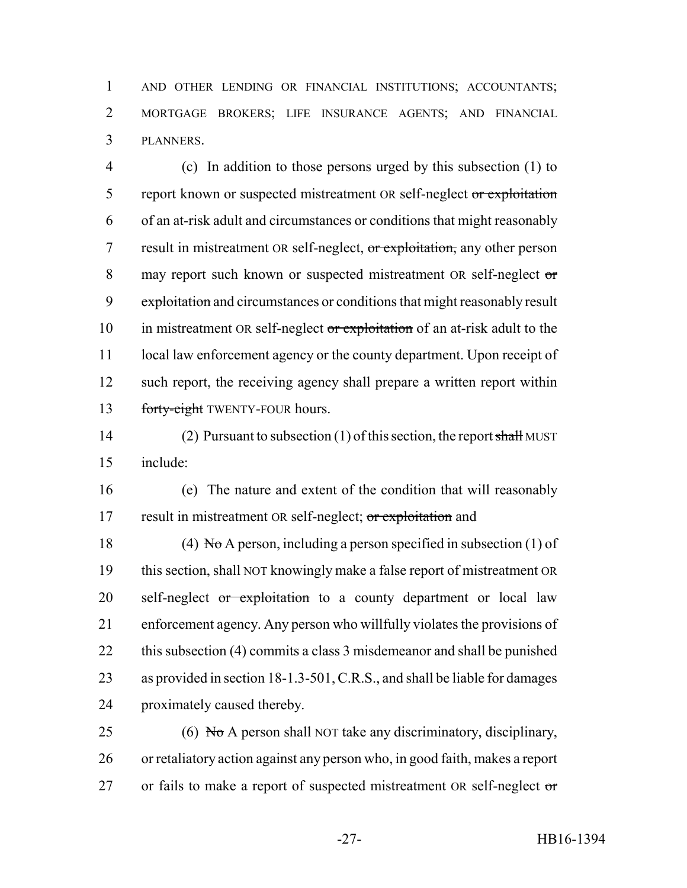1 AND OTHER LENDING OR FINANCIAL INSTITUTIONS; ACCOUNTANTS; 2 MORTGAGE BROKERS; LIFE INSURANCE AGENTS; AND FINANCIAL 3 PLANNERS.

4 (c) In addition to those persons urged by this subsection (1) to 5 report known or suspected mistreatment OR self-neglect or exploitation 6 of an at-risk adult and circumstances or conditions that might reasonably 7 result in mistreatment OR self-neglect, or exploitation, any other person 8 may report such known or suspected mistreatment OR self-neglect or 9 exploitation and circumstances or conditions that might reasonably result 10 in mistreatment OR self-neglect or exploitation of an at-risk adult to the 11 local law enforcement agency or the county department. Upon receipt of 12 such report, the receiving agency shall prepare a written report within 13 forty-eight TWENTY-FOUR hours.

14 (2) Pursuant to subsection (1) of this section, the report shall MUST 15 include:

16 (e) The nature and extent of the condition that will reasonably 17 result in mistreatment OR self-neglect; or exploitation and

18 (4) No A person, including a person specified in subsection (1) of 19 this section, shall NOT knowingly make a false report of mistreatment OR 20 self-neglect or exploitation to a county department or local law 21 enforcement agency. Any person who willfully violates the provisions of 22 this subsection (4) commits a class 3 misdemeanor and shall be punished 23 as provided in section 18-1.3-501, C.R.S., and shall be liable for damages 24 proximately caused thereby.

25 (6) No A person shall NOT take any discriminatory, disciplinary, 26 or retaliatory action against any person who, in good faith, makes a report 27 or fails to make a report of suspected mistreatment OR self-neglect or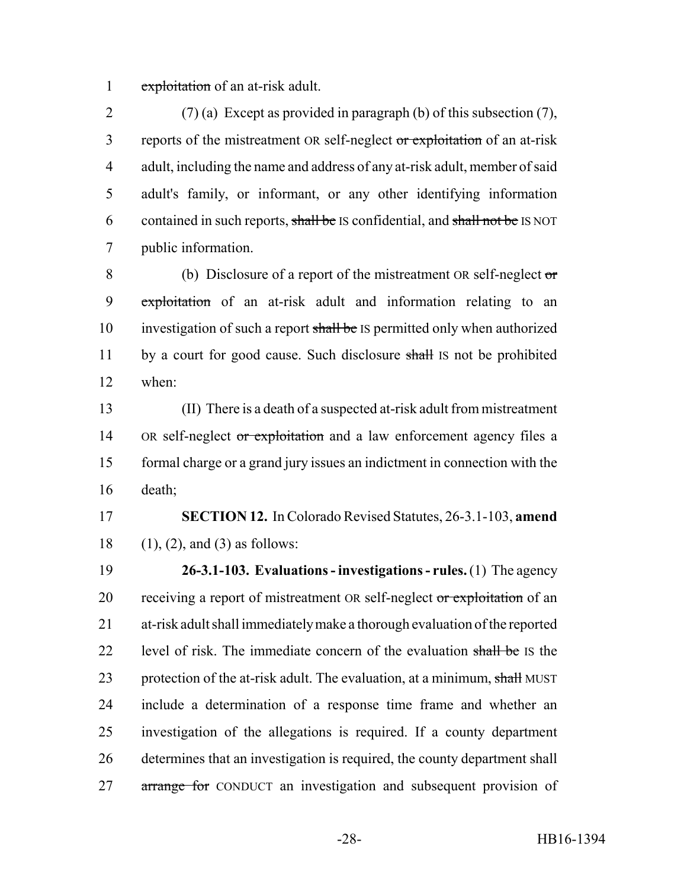1 exploitation of an at-risk adult.

 (7) (a) Except as provided in paragraph (b) of this subsection (7), 3 reports of the mistreatment OR self-neglect or exploitation of an at-risk adult, including the name and address of any at-risk adult, member of said adult's family, or informant, or any other identifying information 6 contained in such reports, shall be IS confidential, and shall not be IS NOT public information.

 (b) Disclosure of a report of the mistreatment OR self-neglect or exploitation of an at-risk adult and information relating to an investigation of such a report shall be IS permitted only when authorized 11 by a court for good cause. Such disclosure shall IS not be prohibited when:

 (II) There is a death of a suspected at-risk adult from mistreatment 14 OR self-neglect or exploitation and a law enforcement agency files a formal charge or a grand jury issues an indictment in connection with the death;

 **SECTION 12.** In Colorado Revised Statutes, 26-3.1-103, **amend** 18 (1), (2), and (3) as follows:

 **26-3.1-103. Evaluations - investigations - rules.** (1) The agency 20 receiving a report of mistreatment OR self-neglect or exploitation of an at-risk adult shall immediately make a thorough evaluation of the reported 22 level of risk. The immediate concern of the evaluation shall be IS the 23 protection of the at-risk adult. The evaluation, at a minimum, shall MUST include a determination of a response time frame and whether an investigation of the allegations is required. If a county department determines that an investigation is required, the county department shall 27 arrange for CONDUCT an investigation and subsequent provision of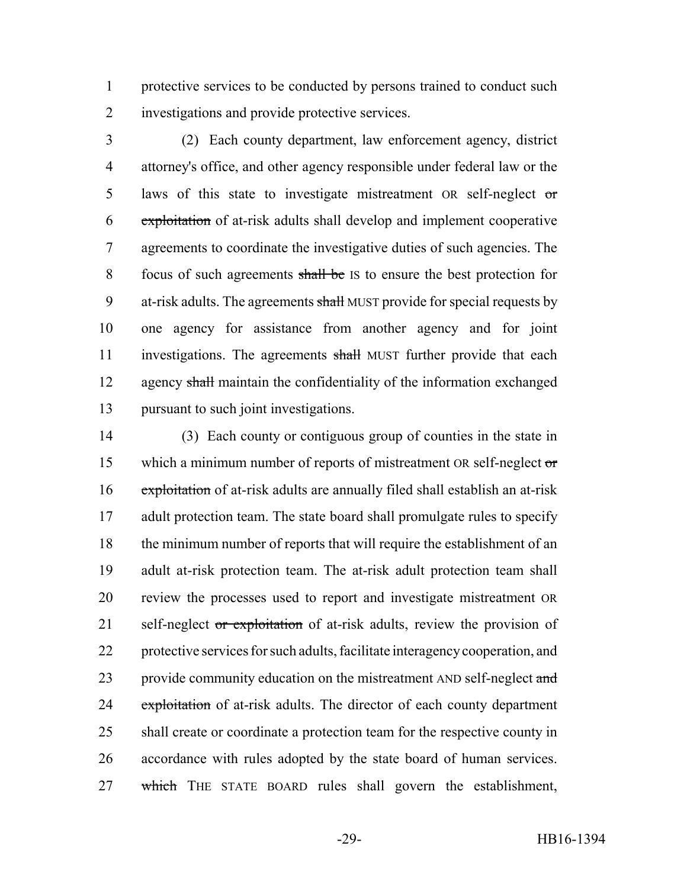protective services to be conducted by persons trained to conduct such investigations and provide protective services.

 (2) Each county department, law enforcement agency, district attorney's office, and other agency responsible under federal law or the laws of this state to investigate mistreatment OR self-neglect or exploitation of at-risk adults shall develop and implement cooperative agreements to coordinate the investigative duties of such agencies. The focus of such agreements shall be IS to ensure the best protection for 9 at-risk adults. The agreements shall MUST provide for special requests by one agency for assistance from another agency and for joint 11 investigations. The agreements shall MUST further provide that each 12 agency shall maintain the confidentiality of the information exchanged pursuant to such joint investigations.

 (3) Each county or contiguous group of counties in the state in 15 which a minimum number of reports of mistreatment OR self-neglect or exploitation of at-risk adults are annually filed shall establish an at-risk 17 adult protection team. The state board shall promulgate rules to specify the minimum number of reports that will require the establishment of an adult at-risk protection team. The at-risk adult protection team shall review the processes used to report and investigate mistreatment OR 21 self-neglect or exploitation of at-risk adults, review the provision of protective services for such adults, facilitate interagency cooperation, and 23 provide community education on the mistreatment AND self-neglect and 24 exploitation of at-risk adults. The director of each county department shall create or coordinate a protection team for the respective county in accordance with rules adopted by the state board of human services. 27 which THE STATE BOARD rules shall govern the establishment,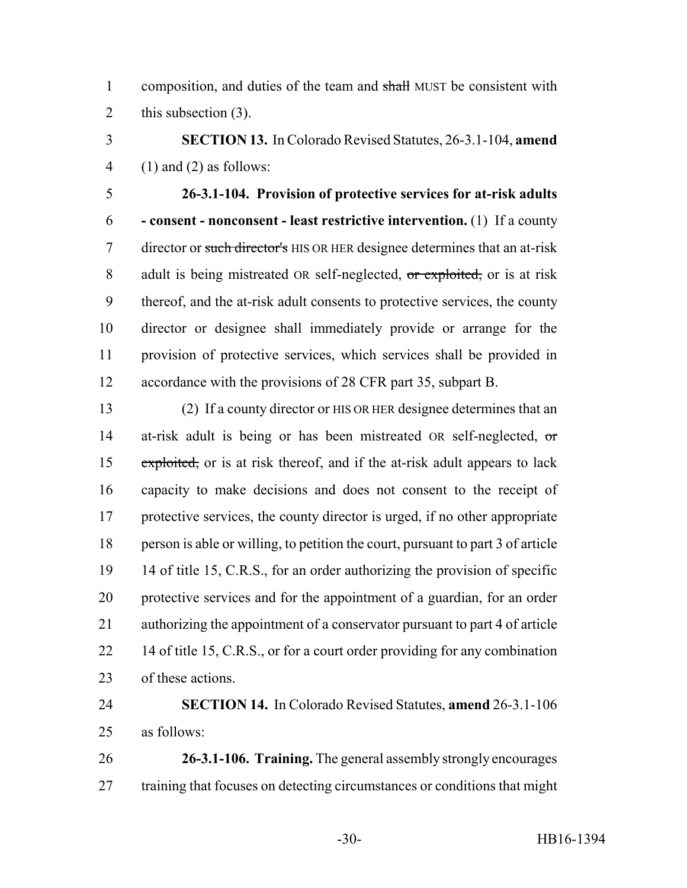1 composition, and duties of the team and shall MUST be consistent with 2 this subsection (3).

 **SECTION 13.** In Colorado Revised Statutes, 26-3.1-104, **amend** 4 (1) and (2) as follows:

 **26-3.1-104. Provision of protective services for at-risk adults - consent - nonconsent - least restrictive intervention.** (1) If a county director or such director's HIS OR HER designee determines that an at-risk 8 adult is being mistreated OR self-neglected, or exploited, or is at risk thereof, and the at-risk adult consents to protective services, the county director or designee shall immediately provide or arrange for the provision of protective services, which services shall be provided in accordance with the provisions of 28 CFR part 35, subpart B.

 (2) If a county director or HIS OR HER designee determines that an 14 at-risk adult is being or has been mistreated OR self-neglected, or 15 exploited, or is at risk thereof, and if the at-risk adult appears to lack capacity to make decisions and does not consent to the receipt of protective services, the county director is urged, if no other appropriate person is able or willing, to petition the court, pursuant to part 3 of article 14 of title 15, C.R.S., for an order authorizing the provision of specific protective services and for the appointment of a guardian, for an order authorizing the appointment of a conservator pursuant to part 4 of article 22 14 of title 15, C.R.S., or for a court order providing for any combination of these actions.

# **SECTION 14.** In Colorado Revised Statutes, **amend** 26-3.1-106 as follows:

 **26-3.1-106. Training.** The general assembly strongly encourages training that focuses on detecting circumstances or conditions that might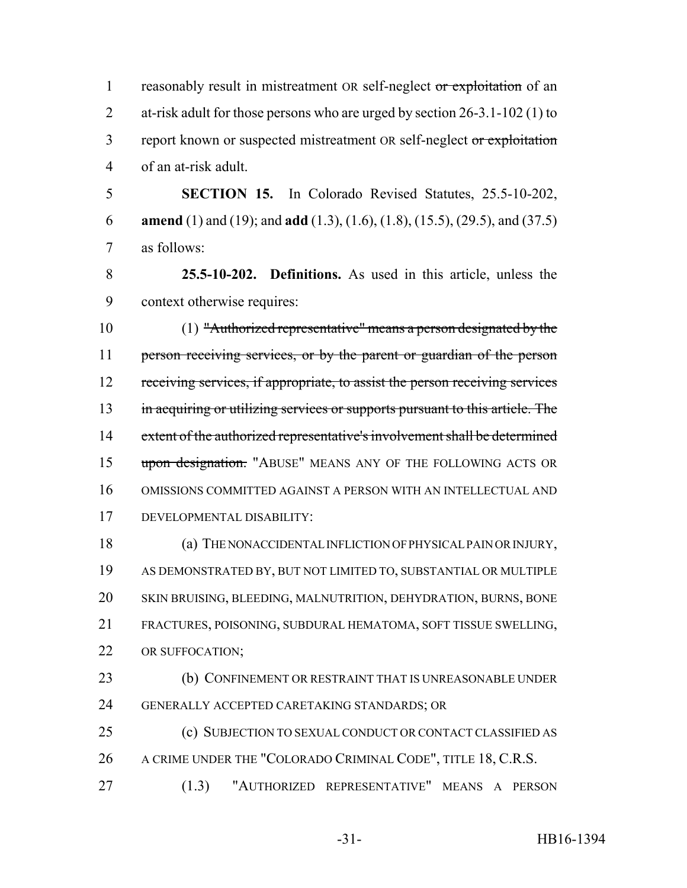1 reasonably result in mistreatment OR self-neglect or exploitation of an at-risk adult for those persons who are urged by section 26-3.1-102 (1) to 3 report known or suspected mistreatment OR self-neglect or exploitation of an at-risk adult.

 **SECTION 15.** In Colorado Revised Statutes, 25.5-10-202, **amend** (1) and (19); and **add** (1.3), (1.6), (1.8), (15.5), (29.5), and (37.5) as follows:

 **25.5-10-202. Definitions.** As used in this article, unless the context otherwise requires:

 (1) "Authorized representative" means a person designated by the 11 person receiving services, or by the parent or guardian of the person receiving services, if appropriate, to assist the person receiving services in acquiring or utilizing services or supports pursuant to this article. The extent of the authorized representative's involvement shall be determined 15 upon designation. "ABUSE" MEANS ANY OF THE FOLLOWING ACTS OR OMISSIONS COMMITTED AGAINST A PERSON WITH AN INTELLECTUAL AND DEVELOPMENTAL DISABILITY:

 (a) THE NONACCIDENTAL INFLICTION OF PHYSICAL PAIN OR INJURY, AS DEMONSTRATED BY, BUT NOT LIMITED TO, SUBSTANTIAL OR MULTIPLE SKIN BRUISING, BLEEDING, MALNUTRITION, DEHYDRATION, BURNS, BONE FRACTURES, POISONING, SUBDURAL HEMATOMA, SOFT TISSUE SWELLING, 22 OR SUFFOCATION;

 (b) CONFINEMENT OR RESTRAINT THAT IS UNREASONABLE UNDER GENERALLY ACCEPTED CARETAKING STANDARDS; OR

 (c) SUBJECTION TO SEXUAL CONDUCT OR CONTACT CLASSIFIED AS 26 A CRIME UNDER THE "COLORADO CRIMINAL CODE", TITLE 18, C.R.S.

(1.3) "AUTHORIZED REPRESENTATIVE" MEANS A PERSON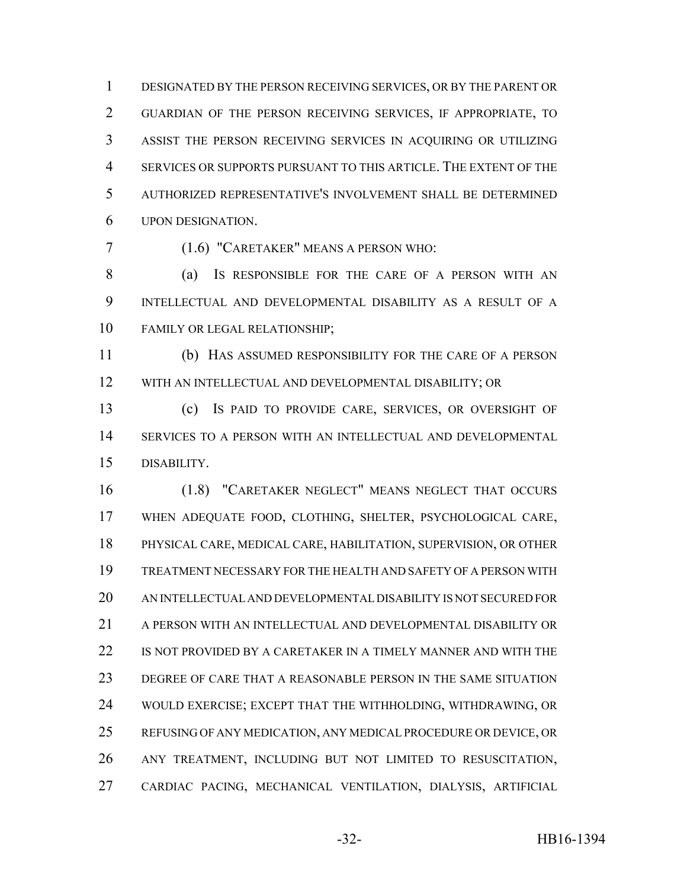DESIGNATED BY THE PERSON RECEIVING SERVICES, OR BY THE PARENT OR GUARDIAN OF THE PERSON RECEIVING SERVICES, IF APPROPRIATE, TO ASSIST THE PERSON RECEIVING SERVICES IN ACQUIRING OR UTILIZING SERVICES OR SUPPORTS PURSUANT TO THIS ARTICLE. THE EXTENT OF THE AUTHORIZED REPRESENTATIVE'S INVOLVEMENT SHALL BE DETERMINED UPON DESIGNATION.

(1.6) "CARETAKER" MEANS A PERSON WHO:

 (a) IS RESPONSIBLE FOR THE CARE OF A PERSON WITH AN INTELLECTUAL AND DEVELOPMENTAL DISABILITY AS A RESULT OF A FAMILY OR LEGAL RELATIONSHIP;

 (b) HAS ASSUMED RESPONSIBILITY FOR THE CARE OF A PERSON WITH AN INTELLECTUAL AND DEVELOPMENTAL DISABILITY; OR

 (c) IS PAID TO PROVIDE CARE, SERVICES, OR OVERSIGHT OF SERVICES TO A PERSON WITH AN INTELLECTUAL AND DEVELOPMENTAL DISABILITY.

 (1.8) "CARETAKER NEGLECT" MEANS NEGLECT THAT OCCURS WHEN ADEQUATE FOOD, CLOTHING, SHELTER, PSYCHOLOGICAL CARE, PHYSICAL CARE, MEDICAL CARE, HABILITATION, SUPERVISION, OR OTHER TREATMENT NECESSARY FOR THE HEALTH AND SAFETY OF A PERSON WITH AN INTELLECTUAL AND DEVELOPMENTAL DISABILITY IS NOT SECURED FOR A PERSON WITH AN INTELLECTUAL AND DEVELOPMENTAL DISABILITY OR IS NOT PROVIDED BY A CARETAKER IN A TIMELY MANNER AND WITH THE DEGREE OF CARE THAT A REASONABLE PERSON IN THE SAME SITUATION WOULD EXERCISE; EXCEPT THAT THE WITHHOLDING, WITHDRAWING, OR REFUSING OF ANY MEDICATION, ANY MEDICAL PROCEDURE OR DEVICE, OR ANY TREATMENT, INCLUDING BUT NOT LIMITED TO RESUSCITATION, CARDIAC PACING, MECHANICAL VENTILATION, DIALYSIS, ARTIFICIAL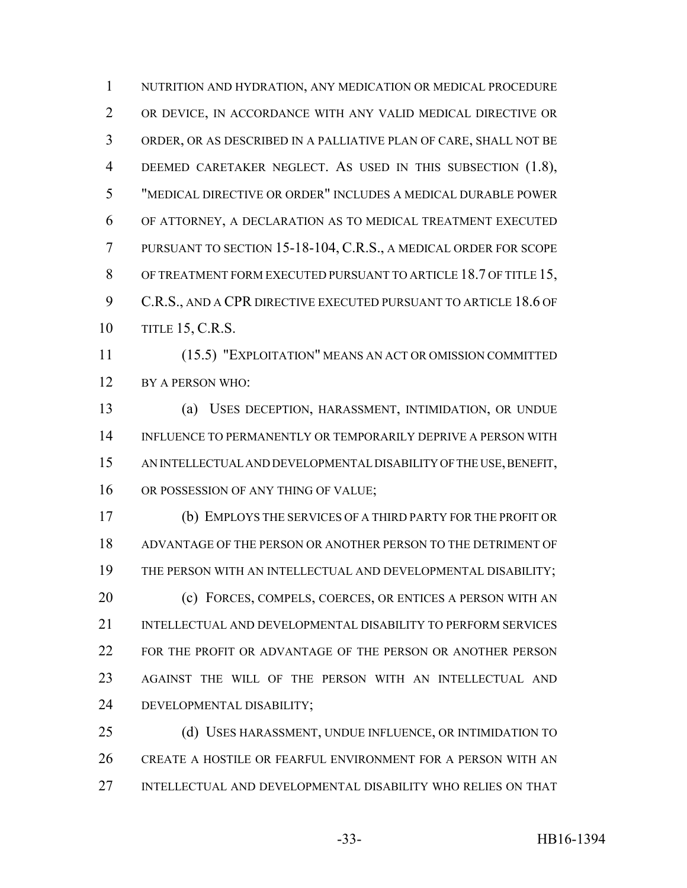NUTRITION AND HYDRATION, ANY MEDICATION OR MEDICAL PROCEDURE OR DEVICE, IN ACCORDANCE WITH ANY VALID MEDICAL DIRECTIVE OR ORDER, OR AS DESCRIBED IN A PALLIATIVE PLAN OF CARE, SHALL NOT BE 4 DEEMED CARETAKER NEGLECT. AS USED IN THIS SUBSECTION (1.8), "MEDICAL DIRECTIVE OR ORDER" INCLUDES A MEDICAL DURABLE POWER OF ATTORNEY, A DECLARATION AS TO MEDICAL TREATMENT EXECUTED PURSUANT TO SECTION 15-18-104, C.R.S., A MEDICAL ORDER FOR SCOPE OF TREATMENT FORM EXECUTED PURSUANT TO ARTICLE 18.7 OF TITLE 15, C.R.S., AND A CPR DIRECTIVE EXECUTED PURSUANT TO ARTICLE 18.6 OF TITLE 15, C.R.S. (15.5) "EXPLOITATION" MEANS AN ACT OR OMISSION COMMITTED 12 BY A PERSON WHO:

 (a) USES DECEPTION, HARASSMENT, INTIMIDATION, OR UNDUE INFLUENCE TO PERMANENTLY OR TEMPORARILY DEPRIVE A PERSON WITH AN INTELLECTUAL AND DEVELOPMENTAL DISABILITY OF THE USE, BENEFIT, 16 OR POSSESSION OF ANY THING OF VALUE;

 (b) EMPLOYS THE SERVICES OF A THIRD PARTY FOR THE PROFIT OR ADVANTAGE OF THE PERSON OR ANOTHER PERSON TO THE DETRIMENT OF THE PERSON WITH AN INTELLECTUAL AND DEVELOPMENTAL DISABILITY; **(c) FORCES, COMPELS, COERCES, OR ENTICES A PERSON WITH AN**  INTELLECTUAL AND DEVELOPMENTAL DISABILITY TO PERFORM SERVICES FOR THE PROFIT OR ADVANTAGE OF THE PERSON OR ANOTHER PERSON AGAINST THE WILL OF THE PERSON WITH AN INTELLECTUAL AND DEVELOPMENTAL DISABILITY;

 (d) USES HARASSMENT, UNDUE INFLUENCE, OR INTIMIDATION TO CREATE A HOSTILE OR FEARFUL ENVIRONMENT FOR A PERSON WITH AN INTELLECTUAL AND DEVELOPMENTAL DISABILITY WHO RELIES ON THAT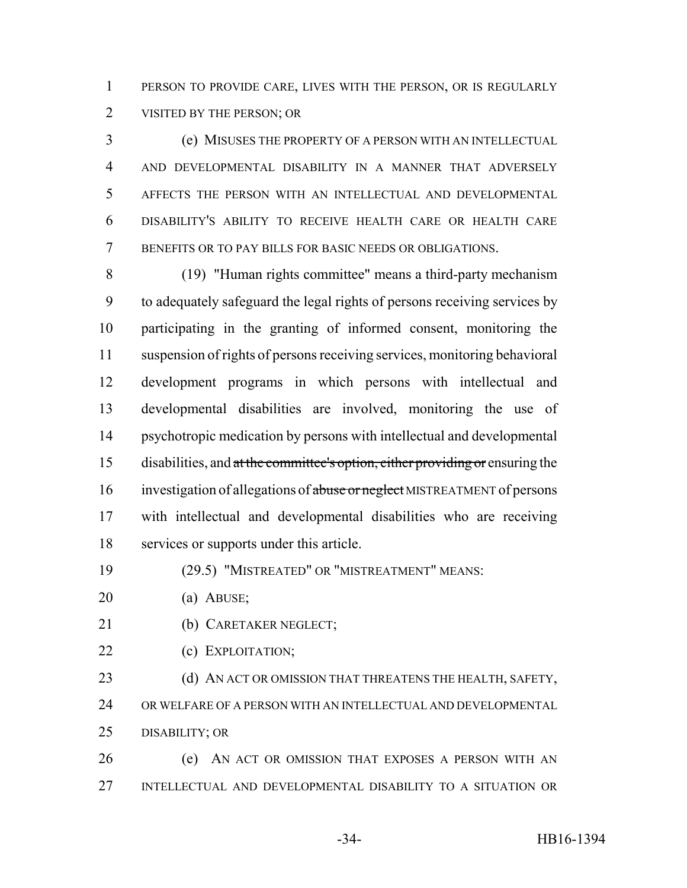PERSON TO PROVIDE CARE, LIVES WITH THE PERSON, OR IS REGULARLY VISITED BY THE PERSON; OR

 (e) MISUSES THE PROPERTY OF A PERSON WITH AN INTELLECTUAL AND DEVELOPMENTAL DISABILITY IN A MANNER THAT ADVERSELY AFFECTS THE PERSON WITH AN INTELLECTUAL AND DEVELOPMENTAL DISABILITY'S ABILITY TO RECEIVE HEALTH CARE OR HEALTH CARE BENEFITS OR TO PAY BILLS FOR BASIC NEEDS OR OBLIGATIONS.

 (19) "Human rights committee" means a third-party mechanism to adequately safeguard the legal rights of persons receiving services by participating in the granting of informed consent, monitoring the suspension of rights of persons receiving services, monitoring behavioral development programs in which persons with intellectual and developmental disabilities are involved, monitoring the use of psychotropic medication by persons with intellectual and developmental 15 disabilities, and at the committee's option, either providing or ensuring the 16 investigation of allegations of abuse or neglect MISTREATMENT of persons with intellectual and developmental disabilities who are receiving services or supports under this article.

(29.5) "MISTREATED" OR "MISTREATMENT" MEANS:

- (a) ABUSE;
- (b) CARETAKER NEGLECT;
- 22 (c) EXPLOITATION;

23 (d) AN ACT OR OMISSION THAT THREATENS THE HEALTH, SAFETY, OR WELFARE OF A PERSON WITH AN INTELLECTUAL AND DEVELOPMENTAL DISABILITY; OR

 (e) AN ACT OR OMISSION THAT EXPOSES A PERSON WITH AN INTELLECTUAL AND DEVELOPMENTAL DISABILITY TO A SITUATION OR